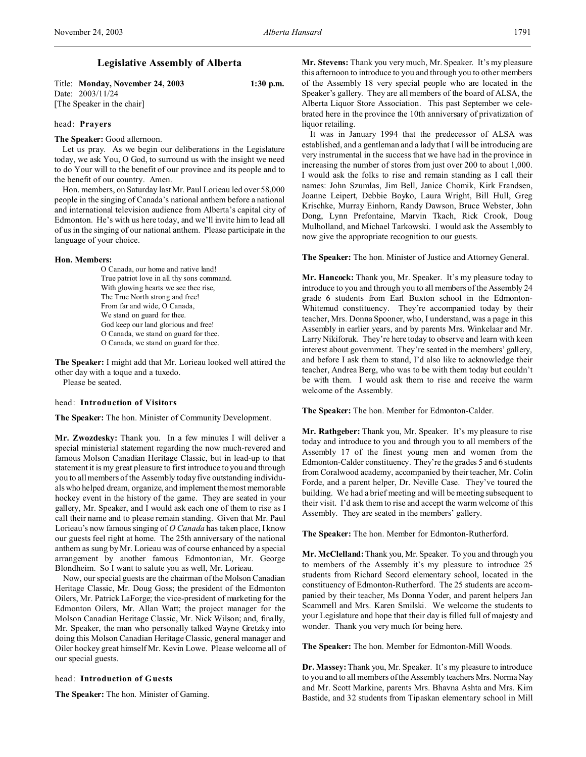# **Legislative Assembly of Alberta**

Title: **Monday, November 24, 2003 1:30 p.m.** Date: 2003/11/24 [The Speaker in the chair]

## head: **Prayers**

**The Speaker:** Good afternoon.

Let us pray. As we begin our deliberations in the Legislature today, we ask You, O God, to surround us with the insight we need to do Your will to the benefit of our province and its people and to the benefit of our country. Amen.

Hon. members, on Saturday last Mr. Paul Lorieau led over 58,000 people in the singing of Canada's national anthem before a national and international television audience from Alberta's capital city of Edmonton. He's with us here today, and we'll invite him to lead all of us in the singing of our national anthem. Please participate in the language of your choice.

### **Hon. Members:**

O Canada, our home and native land! True patriot love in all thy sons command. With glowing hearts we see thee rise, The True North strong and free! From far and wide, O Canada, We stand on guard for thee. God keep our land glorious and free! O Canada, we stand on guard for thee. O Canada, we stand on guard for thee.

**The Speaker:** I might add that Mr. Lorieau looked well attired the other day with a toque and a tuxedo.

Please be seated.

## head: **Introduction of Visitors**

**The Speaker:** The hon. Minister of Community Development.

**Mr. Zwozdesky:** Thank you. In a few minutes I will deliver a special ministerial statement regarding the now much-revered and famous Molson Canadian Heritage Classic, but in lead-up to that statement it is my great pleasure to first introduce to you and through you to all members of the Assembly today five outstanding individuals who helped dream, organize, and implement the most memorable hockey event in the history of the game. They are seated in your gallery, Mr. Speaker, and I would ask each one of them to rise as I call their name and to please remain standing. Given that Mr. Paul Lorieau's now famous singing of *O Canada* has taken place, I know our guests feel right at home. The 25th anniversary of the national anthem as sung by Mr. Lorieau was of course enhanced by a special arrangement by another famous Edmontonian, Mr. George Blondheim. So I want to salute you as well, Mr. Lorieau.

Now, our special guests are the chairman of the Molson Canadian Heritage Classic, Mr. Doug Goss; the president of the Edmonton Oilers, Mr. Patrick LaForge; the vice-president of marketing for the Edmonton Oilers, Mr. Allan Watt; the project manager for the Molson Canadian Heritage Classic, Mr. Nick Wilson; and, finally, Mr. Speaker, the man who personally talked Wayne Gretzky into doing this Molson Canadian Heritage Classic, general manager and Oiler hockey great himself Mr. Kevin Lowe. Please welcome all of our special guests.

### head: **Introduction of Guests**

**The Speaker:** The hon. Minister of Gaming.

**Mr. Stevens:** Thank you very much, Mr. Speaker. It's my pleasure this afternoon to introduce to you and through you to other members of the Assembly 18 very special people who are located in the Speaker's gallery. They are all members of the board of ALSA, the Alberta Liquor Store Association. This past September we celebrated here in the province the 10th anniversary of privatization of liquor retailing.

It was in January 1994 that the predecessor of ALSA was established, and a gentleman and a lady that I will be introducing are very instrumental in the success that we have had in the province in increasing the number of stores from just over 200 to about 1,000. I would ask the folks to rise and remain standing as I call their names: John Szumlas, Jim Bell, Janice Chomik, Kirk Frandsen, Joanne Leipert, Debbie Boyko, Laura Wright, Bill Hull, Greg Krischke, Murray Einhorn, Randy Dawson, Bruce Webster, John Dong, Lynn Prefontaine, Marvin Tkach, Rick Crook, Doug Mulholland, and Michael Tarkowski. I would ask the Assembly to now give the appropriate recognition to our guests.

### **The Speaker:** The hon. Minister of Justice and Attorney General.

**Mr. Hancock:** Thank you, Mr. Speaker. It's my pleasure today to introduce to you and through you to all members of the Assembly 24 grade 6 students from Earl Buxton school in the Edmonton-Whitemud constituency. They're accompanied today by their teacher, Mrs. Donna Spooner, who, I understand, was a page in this Assembly in earlier years, and by parents Mrs. Winkelaar and Mr. Larry Nikiforuk. They're here today to observe and learn with keen interest about government. They're seated in the members' gallery, and before I ask them to stand, I'd also like to acknowledge their teacher, Andrea Berg, who was to be with them today but couldn't be with them. I would ask them to rise and receive the warm welcome of the Assembly.

**The Speaker:** The hon. Member for Edmonton-Calder.

**Mr. Rathgeber:** Thank you, Mr. Speaker. It's my pleasure to rise today and introduce to you and through you to all members of the Assembly 17 of the finest young men and women from the Edmonton-Calder constituency. They're the grades 5 and 6 students from Coralwood academy, accompanied by their teacher, Mr. Colin Forde, and a parent helper, Dr. Neville Case. They've toured the building. We had a brief meeting and will be meeting subsequent to their visit. I'd ask them to rise and accept the warm welcome of this Assembly. They are seated in the members' gallery.

**The Speaker:** The hon. Member for Edmonton-Rutherford.

**Mr. McClelland:** Thank you, Mr. Speaker. To you and through you to members of the Assembly it's my pleasure to introduce 25 students from Richard Secord elementary school, located in the constituency of Edmonton-Rutherford. The 25 students are accompanied by their teacher, Ms Donna Yoder, and parent helpers Jan Scammell and Mrs. Karen Smilski. We welcome the students to your Legislature and hope that their day is filled full of majesty and wonder. Thank you very much for being here.

**The Speaker:** The hon. Member for Edmonton-Mill Woods.

**Dr. Massey:** Thank you, Mr. Speaker. It's my pleasure to introduce to you and to all members of the Assembly teachers Mrs. Norma Nay and Mr. Scott Markine, parents Mrs. Bhavna Ashta and Mrs. Kim Bastide, and 32 students from Tipaskan elementary school in Mill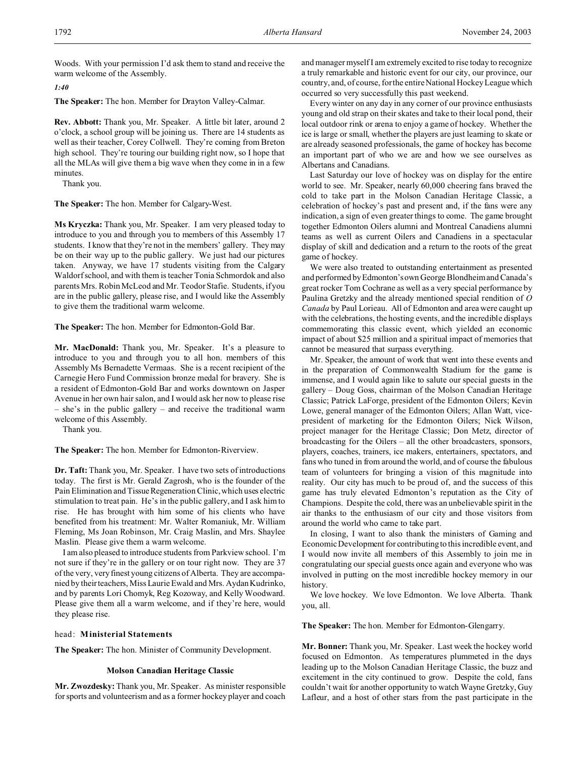Woods. With your permission I'd ask them to stand and receive the warm welcome of the Assembly.

*1:40*

**The Speaker:** The hon. Member for Drayton Valley-Calmar.

**Rev. Abbott:** Thank you, Mr. Speaker. A little bit later, around 2 o'clock, a school group will be joining us. There are 14 students as well as their teacher, Corey Collwell. They're coming from Breton high school. They're touring our building right now, so I hope that all the MLAs will give them a big wave when they come in in a few minutes.

Thank you.

**The Speaker:** The hon. Member for Calgary-West.

**Ms Kryczka:** Thank you, Mr. Speaker. I am very pleased today to introduce to you and through you to members of this Assembly 17 students. I know that they're not in the members' gallery. They may be on their way up to the public gallery. We just had our pictures taken. Anyway, we have 17 students visiting from the Calgary Waldorf school, and with them is teacher Tonia Schmordok and also parents Mrs. Robin McLeod and Mr. Teodor Stafie. Students, if you are in the public gallery, please rise, and I would like the Assembly to give them the traditional warm welcome.

**The Speaker:** The hon. Member for Edmonton-Gold Bar.

**Mr. MacDonald:** Thank you, Mr. Speaker. It's a pleasure to introduce to you and through you to all hon. members of this Assembly Ms Bernadette Vermaas. She is a recent recipient of the Carnegie Hero Fund Commission bronze medal for bravery. She is a resident of Edmonton-Gold Bar and works downtown on Jasper Avenue in her own hair salon, and I would ask her now to please rise – she's in the public gallery – and receive the traditional warm welcome of this Assembly.

Thank you.

**The Speaker:** The hon. Member for Edmonton-Riverview.

**Dr. Taft:** Thank you, Mr. Speaker. I have two sets of introductions today. The first is Mr. Gerald Zagrosh, who is the founder of the Pain Elimination and Tissue Regeneration Clinic, which uses electric stimulation to treat pain. He's in the public gallery, and I ask him to rise. He has brought with him some of his clients who have benefited from his treatment: Mr. Walter Romaniuk, Mr. William Fleming, Ms Joan Robinson, Mr. Craig Maslin, and Mrs. Shaylee Maslin. Please give them a warm welcome.

I am also pleased to introduce students from Parkview school. I'm not sure if they're in the gallery or on tour right now. They are 37 of the very, very finest young citizens of Alberta. They are accompanied by their teachers, Miss Laurie Ewald and Mrs. Aydan Kudrinko, and by parents Lori Chomyk, Reg Kozoway, and Kelly Woodward. Please give them all a warm welcome, and if they're here, would they please rise.

## head: **Ministerial Statements**

**The Speaker:** The hon. Minister of Community Development.

#### **Molson Canadian Heritage Classic**

**Mr. Zwozdesky:** Thank you, Mr. Speaker. As minister responsible for sports and volunteerism and as a former hockey player and coach and manager myself I am extremely excited to rise today to recognize a truly remarkable and historic event for our city, our province, our country, and, of course, for the entire National Hockey League which occurred so very successfully this past weekend.

Every winter on any day in any corner of our province enthusiasts young and old strap on their skates and take to their local pond, their local outdoor rink or arena to enjoy a game of hockey. Whether the ice is large or small, whether the players are just learning to skate or are already seasoned professionals, the game of hockey has become an important part of who we are and how we see ourselves as Albertans and Canadians.

Last Saturday our love of hockey was on display for the entire world to see. Mr. Speaker, nearly 60,000 cheering fans braved the cold to take part in the Molson Canadian Heritage Classic, a celebration of hockey's past and present and, if the fans were any indication, a sign of even greater things to come. The game brought together Edmonton Oilers alumni and Montreal Canadiens alumni teams as well as current Oilers and Canadiens in a spectacular display of skill and dedication and a return to the roots of the great game of hockey.

We were also treated to outstanding entertainment as presented and performed byEdmonton'sown George Blondheim and Canada's great rocker Tom Cochrane as well as a very special performance by Paulina Gretzky and the already mentioned special rendition of *O Canada* by Paul Lorieau. All of Edmonton and area were caught up with the celebrations, the hosting events, and the incredible displays commemorating this classic event, which yielded an economic impact of about \$25 million and a spiritual impact of memories that cannot be measured that surpass everything.

Mr. Speaker, the amount of work that went into these events and in the preparation of Commonwealth Stadium for the game is immense, and I would again like to salute our special guests in the gallery – Doug Goss, chairman of the Molson Canadian Heritage Classic; Patrick LaForge, president of the Edmonton Oilers; Kevin Lowe, general manager of the Edmonton Oilers; Allan Watt, vicepresident of marketing for the Edmonton Oilers; Nick Wilson, project manager for the Heritage Classic; Don Metz, director of broadcasting for the Oilers – all the other broadcasters, sponsors, players, coaches, trainers, ice makers, entertainers, spectators, and fans who tuned in from around the world, and of course the fabulous team of volunteers for bringing a vision of this magnitude into reality. Our city has much to be proud of, and the success of this game has truly elevated Edmonton's reputation as the City of Champions. Despite the cold, there was an unbelievable spirit in the air thanks to the enthusiasm of our city and those visitors from around the world who came to take part.

In closing, I want to also thank the ministers of Gaming and Economic Development for contributing to this incredible event, and I would now invite all members of this Assembly to join me in congratulating our special guests once again and everyone who was involved in putting on the most incredible hockey memory in our history.

We love hockey. We love Edmonton. We love Alberta. Thank you, all.

**The Speaker:** The hon. Member for Edmonton-Glengarry.

**Mr. Bonner:** Thank you, Mr. Speaker. Last week the hockey world focused on Edmonton. As temperatures plummeted in the days leading up to the Molson Canadian Heritage Classic, the buzz and excitement in the city continued to grow. Despite the cold, fans couldn't wait for another opportunity to watch Wayne Gretzky, Guy Lafleur, and a host of other stars from the past participate in the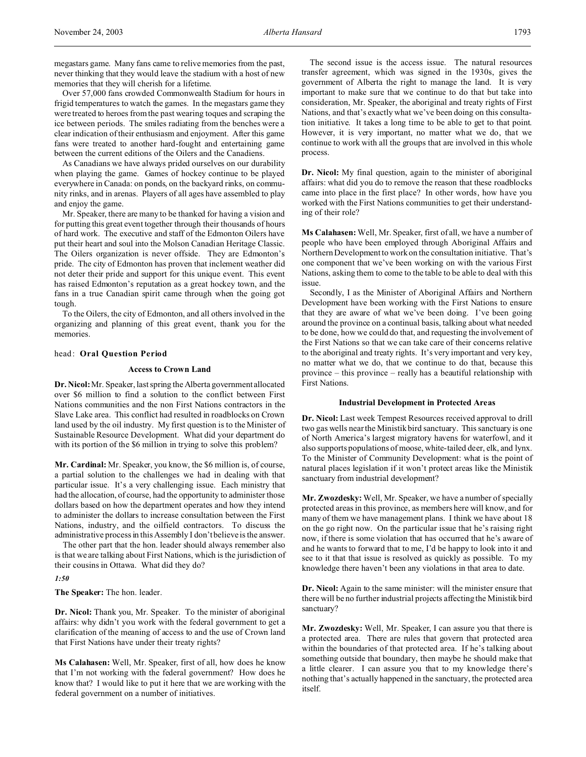Over 57,000 fans crowded Commonwealth Stadium for hours in frigid temperatures to watch the games. In the megastars game they were treated to heroes from the past wearing toques and scraping the ice between periods. The smiles radiating from the benches were a clear indication of their enthusiasm and enjoyment. After this game fans were treated to another hard-fought and entertaining game between the current editions of the Oilers and the Canadiens.

As Canadians we have always prided ourselves on our durability when playing the game. Games of hockey continue to be played everywhere in Canada: on ponds, on the backyard rinks, on community rinks, and in arenas. Players of all ages have assembled to play and enjoy the game.

Mr. Speaker, there are many to be thanked for having a vision and for putting this great event together through their thousands of hours of hard work. The executive and staff of the Edmonton Oilers have put their heart and soul into the Molson Canadian Heritage Classic. The Oilers organization is never offside. They are Edmonton's pride. The city of Edmonton has proven that inclement weather did not deter their pride and support for this unique event. This event has raised Edmonton's reputation as a great hockey town, and the fans in a true Canadian spirit came through when the going got tough.

To the Oilers, the city of Edmonton, and all others involved in the organizing and planning of this great event, thank you for the memories.

## head: **Oral Question Period**

## **Access to Crown Land**

**Dr. Nicol:** Mr. Speaker, last spring the Alberta government allocated over \$6 million to find a solution to the conflict between First Nations communities and the non First Nations contractors in the Slave Lake area. This conflict had resulted in roadblocks on Crown land used by the oil industry. My first question is to the Minister of Sustainable Resource Development. What did your department do with its portion of the \$6 million in trying to solve this problem?

**Mr. Cardinal:** Mr. Speaker, you know, the \$6 million is, of course, a partial solution to the challenges we had in dealing with that particular issue. It's a very challenging issue. Each ministry that had the allocation, of course, had the opportunity to administer those dollars based on how the department operates and how they intend to administer the dollars to increase consultation between the First Nations, industry, and the oilfield contractors. To discuss the administrative process in this Assembly I don't believe is the answer.

The other part that the hon. leader should always remember also is that we are talking about First Nations, which is the jurisdiction of their cousins in Ottawa. What did they do?

*1:50*

**The Speaker:** The hon. leader.

**Dr. Nicol:** Thank you, Mr. Speaker. To the minister of aboriginal affairs: why didn't you work with the federal government to get a clarification of the meaning of access to and the use of Crown land that First Nations have under their treaty rights?

**Ms Calahasen:** Well, Mr. Speaker, first of all, how does he know that I'm not working with the federal government? How does he know that? I would like to put it here that we are working with the federal government on a number of initiatives.

The second issue is the access issue. The natural resources transfer agreement, which was signed in the 1930s, gives the government of Alberta the right to manage the land. It is very important to make sure that we continue to do that but take into consideration, Mr. Speaker, the aboriginal and treaty rights of First Nations, and that's exactly what we've been doing on this consultation initiative. It takes a long time to be able to get to that point. However, it is very important, no matter what we do, that we continue to work with all the groups that are involved in this whole process.

**Dr. Nicol:** My final question, again to the minister of aboriginal affairs: what did you do to remove the reason that these roadblocks came into place in the first place? In other words, how have you worked with the First Nations communities to get their understanding of their role?

**Ms Calahasen:** Well, Mr. Speaker, first of all, we have a number of people who have been employed through Aboriginal Affairs and Northern Development to work on the consultation initiative. That's one component that we've been working on with the various First Nations, asking them to come to the table to be able to deal with this issue.

Secondly, I as the Minister of Aboriginal Affairs and Northern Development have been working with the First Nations to ensure that they are aware of what we've been doing. I've been going around the province on a continual basis, talking about what needed to be done, how we could do that, and requesting the involvement of the First Nations so that we can take care of their concerns relative to the aboriginal and treaty rights. It's very important and very key, no matter what we do, that we continue to do that, because this province – this province – really has a beautiful relationship with First Nations.

### **Industrial Development in Protected Areas**

**Dr. Nicol:** Last week Tempest Resources received approval to drill two gas wells near the Ministik bird sanctuary. This sanctuary is one of North America's largest migratory havens for waterfowl, and it also supports populations of moose, white-tailed deer, elk, and lynx. To the Minister of Community Development: what is the point of natural places legislation if it won't protect areas like the Ministik sanctuary from industrial development?

**Mr. Zwozdesky:** Well, Mr. Speaker, we have a number of specially protected areas in this province, as members here will know, and for many of them we have management plans. I think we have about 18 on the go right now. On the particular issue that he's raising right now, if there is some violation that has occurred that he's aware of and he wants to forward that to me, I'd be happy to look into it and see to it that that issue is resolved as quickly as possible. To my knowledge there haven't been any violations in that area to date.

**Dr. Nicol:** Again to the same minister: will the minister ensure that there will be no further industrial projects affecting the Ministik bird sanctuary?

**Mr. Zwozdesky:** Well, Mr. Speaker, I can assure you that there is a protected area. There are rules that govern that protected area within the boundaries of that protected area. If he's talking about something outside that boundary, then maybe he should make that a little clearer. I can assure you that to my knowledge there's nothing that's actually happened in the sanctuary, the protected area itself.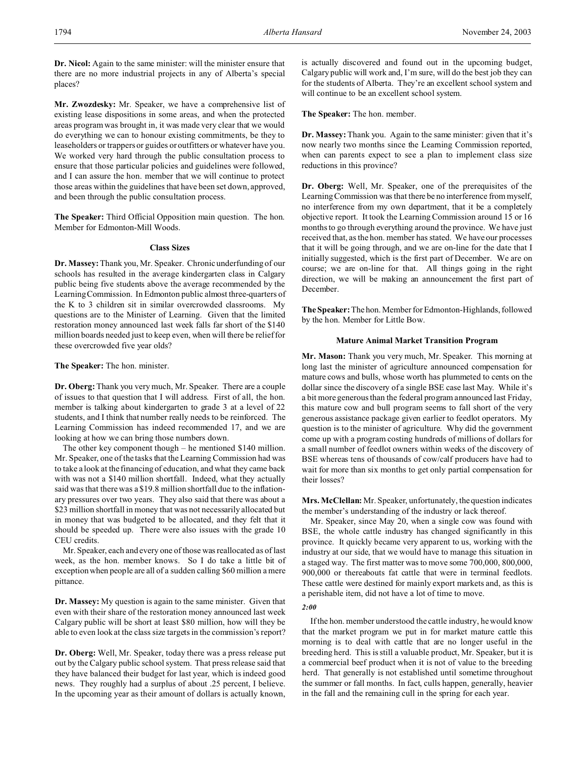**Dr. Nicol:** Again to the same minister: will the minister ensure that there are no more industrial projects in any of Alberta's special places?

**Mr. Zwozdesky:** Mr. Speaker, we have a comprehensive list of existing lease dispositions in some areas, and when the protected areas program was brought in, it was made very clear that we would do everything we can to honour existing commitments, be they to leaseholders or trappers or guides or outfitters or whatever have you. We worked very hard through the public consultation process to ensure that those particular policies and guidelines were followed, and I can assure the hon. member that we will continue to protect those areas within the guidelines that have been set down, approved, and been through the public consultation process.

**The Speaker:** Third Official Opposition main question. The hon. Member for Edmonton-Mill Woods.

## **Class Sizes**

**Dr. Massey:**Thank you, Mr. Speaker. Chronic underfunding of our schools has resulted in the average kindergarten class in Calgary public being five students above the average recommended by the Learning Commission. In Edmonton public almost three-quarters of the K to 3 children sit in similar overcrowded classrooms. My questions are to the Minister of Learning. Given that the limited restoration money announced last week falls far short of the \$140 million boards needed just to keep even, when will there be relief for these overcrowded five year olds?

**The Speaker:** The hon. minister.

**Dr. Oberg:**Thank you very much, Mr. Speaker. There are a couple of issues to that question that I will address. First of all, the hon. member is talking about kindergarten to grade 3 at a level of 22 students, and I think that number really needs to be reinforced. The Learning Commission has indeed recommended 17, and we are looking at how we can bring those numbers down.

The other key component though – he mentioned \$140 million. Mr. Speaker, one of the tasks that the Learning Commission had was to take a look at the financing of education, and what they came back with was not a \$140 million shortfall. Indeed, what they actually said was that there was a \$19.8 million shortfall due to the inflationary pressures over two years. They also said that there was about a \$23 million shortfall in money that was not necessarily allocated but in money that was budgeted to be allocated, and they felt that it should be speeded up. There were also issues with the grade 10 CEU credits.

Mr. Speaker, each and every one of those was reallocated as of last week, as the hon. member knows. So I do take a little bit of exception when people are all of a sudden calling \$60 million a mere pittance.

**Dr. Massey:** My question is again to the same minister. Given that even with their share of the restoration money announced last week Calgary public will be short at least \$80 million, how will they be able to even look at the class size targets in the commission's report?

**Dr. Oberg:** Well, Mr. Speaker, today there was a press release put out by the Calgary public school system. That press release said that they have balanced their budget for last year, which is indeed good news. They roughly had a surplus of about .25 percent, I believe. In the upcoming year as their amount of dollars is actually known,

is actually discovered and found out in the upcoming budget, Calgary public will work and, I'm sure, will do the best job they can for the students of Alberta. They're an excellent school system and will continue to be an excellent school system.

**The Speaker:** The hon. member.

**Dr. Massey:** Thank you. Again to the same minister: given that it's now nearly two months since the Learning Commission reported, when can parents expect to see a plan to implement class size reductions in this province?

**Dr. Oberg:** Well, Mr. Speaker, one of the prerequisites of the Learning Commission was that there be no interference from myself, no interference from my own department, that it be a completely objective report. It took the Learning Commission around 15 or 16 months to go through everything around the province. We have just received that, as the hon. member has stated. We have our processes that it will be going through, and we are on-line for the date that I initially suggested, which is the first part of December. We are on course; we are on-line for that. All things going in the right direction, we will be making an announcement the first part of December.

**The Speaker:** The hon. Member for Edmonton-Highlands, followed by the hon. Member for Little Bow.

### **Mature Animal Market Transition Program**

**Mr. Mason:** Thank you very much, Mr. Speaker. This morning at long last the minister of agriculture announced compensation for mature cows and bulls, whose worth has plummeted to cents on the dollar since the discovery of a single BSE case last May. While it's a bit more generous than the federal program announced last Friday, this mature cow and bull program seems to fall short of the very generous assistance package given earlier to feedlot operators. My question is to the minister of agriculture. Why did the government come up with a program costing hundreds of millions of dollars for a small number of feedlot owners within weeks of the discovery of BSE whereas tens of thousands of cow/calf producers have had to wait for more than six months to get only partial compensation for their losses?

**Mrs. McClellan:** Mr. Speaker, unfortunately, the question indicates the member's understanding of the industry or lack thereof.

Mr. Speaker, since May 20, when a single cow was found with BSE, the whole cattle industry has changed significantly in this province. It quickly became very apparent to us, working with the industry at our side, that we would have to manage this situation in a staged way. The first matter was to move some 700,000, 800,000, 900,000 or thereabouts fat cattle that were in terminal feedlots. These cattle were destined for mainly export markets and, as this is a perishable item, did not have a lot of time to move.

### *2:00*

If the hon. member understood the cattle industry, he would know that the market program we put in for market mature cattle this morning is to deal with cattle that are no longer useful in the breeding herd. This is still a valuable product, Mr. Speaker, but it is a commercial beef product when it is not of value to the breeding herd. That generally is not established until sometime throughout the summer or fall months. In fact, culls happen, generally, heavier in the fall and the remaining cull in the spring for each year.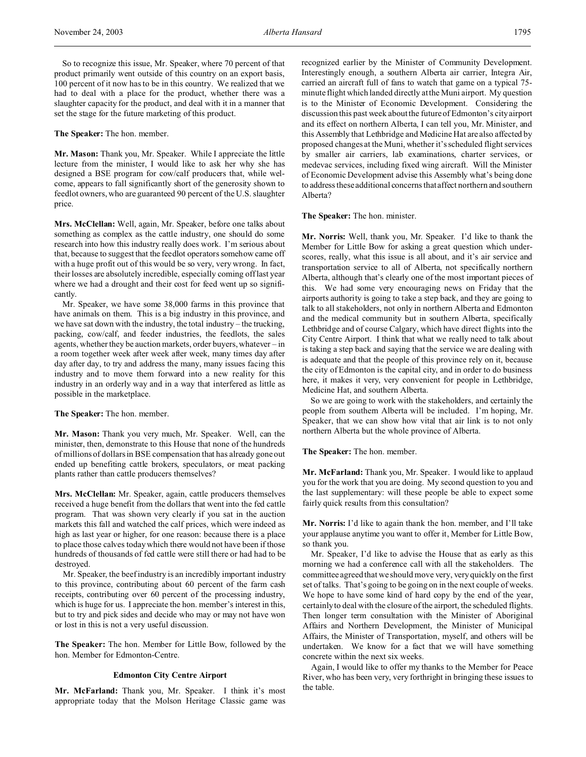**The Speaker:** The hon. member.

**Mr. Mason:** Thank you, Mr. Speaker. While I appreciate the little lecture from the minister, I would like to ask her why she has designed a BSE program for cow/calf producers that, while welcome, appears to fall significantly short of the generosity shown to feedlot owners, who are guaranteed 90 percent of the U.S. slaughter price.

**Mrs. McClellan:** Well, again, Mr. Speaker, before one talks about something as complex as the cattle industry, one should do some research into how this industry really does work. I'm serious about that, because to suggest that the feedlot operators somehow came off with a huge profit out of this would be so very, very wrong. In fact, their losses are absolutely incredible, especially coming off last year where we had a drought and their cost for feed went up so significantly.

Mr. Speaker, we have some 38,000 farms in this province that have animals on them. This is a big industry in this province, and we have sat down with the industry, the total industry – the trucking, packing, cow/calf, and feeder industries, the feedlots, the sales agents, whether they be auction markets, order buyers, whatever – in a room together week after week after week, many times day after day after day, to try and address the many, many issues facing this industry and to move them forward into a new reality for this industry in an orderly way and in a way that interfered as little as possible in the marketplace.

**The Speaker:** The hon. member.

**Mr. Mason:** Thank you very much, Mr. Speaker. Well, can the minister, then, demonstrate to this House that none of the hundreds of millions of dollars in BSE compensation that has already gone out ended up benefiting cattle brokers, speculators, or meat packing plants rather than cattle producers themselves?

**Mrs. McClellan:** Mr. Speaker, again, cattle producers themselves received a huge benefit from the dollars that went into the fed cattle program. That was shown very clearly if you sat in the auction markets this fall and watched the calf prices, which were indeed as high as last year or higher, for one reason: because there is a place to place those calves today which there would not have been if those hundreds of thousands of fed cattle were still there or had had to be destroyed.

Mr. Speaker, the beef industry is an incredibly important industry to this province, contributing about 60 percent of the farm cash receipts, contributing over 60 percent of the processing industry, which is huge for us. I appreciate the hon. member's interest in this, but to try and pick sides and decide who may or may not have won or lost in this is not a very useful discussion.

**The Speaker:** The hon. Member for Little Bow, followed by the hon. Member for Edmonton-Centre.

#### **Edmonton City Centre Airport**

**Mr. McFarland:** Thank you, Mr. Speaker. I think it's most appropriate today that the Molson Heritage Classic game was recognized earlier by the Minister of Community Development. Interestingly enough, a southern Alberta air carrier, Integra Air, carried an aircraft full of fans to watch that game on a typical 75 minute flight which landed directly at the Muni airport. My question is to the Minister of Economic Development. Considering the discussion this past week about the future of Edmonton's city airport and its effect on northern Alberta, I can tell you, Mr. Minister, and this Assembly that Lethbridge and Medicine Hat are also affected by proposed changes at the Muni, whether it's scheduled flight services by smaller air carriers, lab examinations, charter services, or medevac services, including fixed wing aircraft. Will the Minister of Economic Development advise this Assembly what's being done to address these additional concerns that affect northern and southern Alberta?

**The Speaker:** The hon. minister.

**Mr. Norris:** Well, thank you, Mr. Speaker. I'd like to thank the Member for Little Bow for asking a great question which underscores, really, what this issue is all about, and it's air service and transportation service to all of Alberta, not specifically northern Alberta, although that's clearly one of the most important pieces of this. We had some very encouraging news on Friday that the airports authority is going to take a step back, and they are going to talk to all stakeholders, not only in northern Alberta and Edmonton and the medical community but in southern Alberta, specifically Lethbridge and of course Calgary, which have direct flights into the City Centre Airport. I think that what we really need to talk about is taking a step back and saying that the service we are dealing with is adequate and that the people of this province rely on it, because the city of Edmonton is the capital city, and in order to do business here, it makes it very, very convenient for people in Lethbridge, Medicine Hat, and southern Alberta.

So we are going to work with the stakeholders, and certainly the people from southern Alberta will be included. I'm hoping, Mr. Speaker, that we can show how vital that air link is to not only northern Alberta but the whole province of Alberta.

**The Speaker:** The hon. member.

**Mr. McFarland:** Thank you, Mr. Speaker. I would like to applaud you for the work that you are doing. My second question to you and the last supplementary: will these people be able to expect some fairly quick results from this consultation?

**Mr. Norris:** I'd like to again thank the hon. member, and I'll take your applause anytime you want to offer it, Member for Little Bow, so thank you.

Mr. Speaker, I'd like to advise the House that as early as this morning we had a conference call with all the stakeholders. The committee agreed that we should move very, very quickly on the first set of talks. That's going to be going on in the next couple of weeks. We hope to have some kind of hard copy by the end of the year, certainly to deal with the closure of the airport, the scheduled flights. Then longer term consultation with the Minister of Aboriginal Affairs and Northern Development, the Minister of Municipal Affairs, the Minister of Transportation, myself, and others will be undertaken. We know for a fact that we will have something concrete within the next six weeks.

Again, I would like to offer my thanks to the Member for Peace River, who has been very, very forthright in bringing these issues to the table.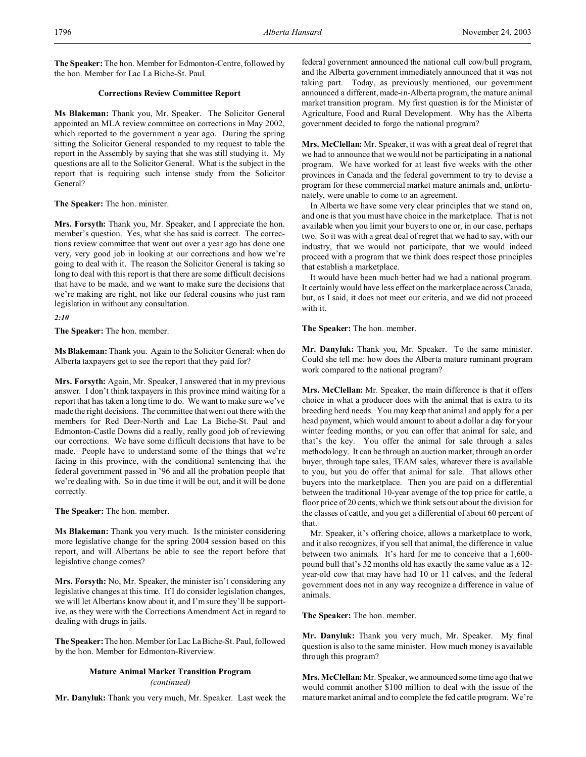**The Speaker:** The hon. Member for Edmonton-Centre, followed by the hon. Member for Lac La Biche-St. Paul.

# **Corrections Review Committee Report**

**Ms Blakeman:** Thank you, Mr. Speaker. The Solicitor General appointed an MLA review committee on corrections in May 2002, which reported to the government a year ago. During the spring sitting the Solicitor General responded to my request to table the report in the Assembly by saying that she was still studying it. My questions are all to the Solicitor General. What is the subject in the report that is requiring such intense study from the Solicitor General?

**The Speaker:** The hon. minister.

**Mrs. Forsyth:** Thank you, Mr. Speaker, and I appreciate the hon. member's question. Yes, what she has said is correct. The corrections review committee that went out over a year ago has done one very, very good job in looking at our corrections and how we're going to deal with it. The reason the Solicitor General is taking so long to deal with this report is that there are some difficult decisions that have to be made, and we want to make sure the decisions that we're making are right, not like our federal cousins who just ram legislation in without any consultation.

*2:10*

**The Speaker:** The hon. member.

**Ms Blakeman:** Thank you. Again to the Solicitor General: when do Alberta taxpayers get to see the report that they paid for?

**Mrs. Forsyth:** Again, Mr. Speaker, I answered that in my previous answer. I don't think taxpayers in this province mind waiting for a report that has taken a long time to do. We want to make sure we've made the right decisions. The committee that went out there with the members for Red Deer-North and Lac La Biche-St. Paul and Edmonton-Castle Downs did a really, really good job of reviewing our corrections. We have some difficult decisions that have to be made. People have to understand some of the things that we're facing in this province, with the conditional sentencing that the federal government passed in '96 and all the probation people that we're dealing with. So in due time it will be out, and it will be done correctly.

**The Speaker:** The hon. member.

**Ms Blakeman:** Thank you very much. Is the minister considering more legislative change for the spring 2004 session based on this report, and will Albertans be able to see the report before that legislative change comes?

**Mrs. Forsyth:** No, Mr. Speaker, the minister isn't considering any legislative changes at this time. If I do consider legislation changes, we will let Albertans know about it, and I'm sure they'll be supportive, as they were with the Corrections Amendment Act in regard to dealing with drugs in jails.

**The Speaker:**The hon. Member for Lac La Biche-St. Paul, followed by the hon. Member for Edmonton-Riverview.

## **Mature Animal Market Transition Program** *(continued)*

**Mr. Danyluk:** Thank you very much, Mr. Speaker. Last week the

federal government announced the national cull cow/bull program, and the Alberta government immediately announced that it was not taking part. Today, as previously mentioned, our government announced a different, made-in-Alberta program, the mature animal market transition program. My first question is for the Minister of Agriculture, Food and Rural Development. Why has the Alberta government decided to forgo the national program?

**Mrs. McClellan:** Mr. Speaker, it was with a great deal of regret that we had to announce that we would not be participating in a national program. We have worked for at least five weeks with the other provinces in Canada and the federal government to try to devise a program for these commercial market mature animals and, unfortunately, were unable to come to an agreement.

In Alberta we have some very clear principles that we stand on, and one is that you must have choice in the marketplace. That is not available when you limit your buyers to one or, in our case, perhaps two. So it was with a great deal of regret that we had to say, with our industry, that we would not participate, that we would indeed proceed with a program that we think does respect those principles that establish a marketplace.

It would have been much better had we had a national program. It certainly would have less effect on the marketplace across Canada, but, as I said, it does not meet our criteria, and we did not proceed with it.

**The Speaker:** The hon. member.

**Mr. Danyluk:** Thank you, Mr. Speaker. To the same minister. Could she tell me: how does the Alberta mature ruminant program work compared to the national program?

**Mrs. McClellan:** Mr. Speaker, the main difference is that it offers choice in what a producer does with the animal that is extra to its breeding herd needs. You may keep that animal and apply for a per head payment, which would amount to about a dollar a day for your winter feeding months, or you can offer that animal for sale, and that's the key. You offer the animal for sale through a sales methodology. It can be through an auction market, through an order buyer, through tape sales, TEAM sales, whatever there is available to you, but you do offer that animal for sale. That allows other buyers into the marketplace. Then you are paid on a differential between the traditional 10-year average of the top price for cattle, a floor price of 20 cents, which we think sets out about the division for the classes of cattle, and you get a differential of about 60 percent of that.

Mr. Speaker, it's offering choice, allows a marketplace to work, and it also recognizes, if you sell that animal, the difference in value between two animals. It's hard for me to conceive that a 1,600 pound bull that's 32 months old has exactly the same value as a 12 year-old cow that may have had 10 or 11 calves, and the federal government does not in any way recognize a difference in value of animals.

**The Speaker:** The hon. member.

**Mr. Danyluk:** Thank you very much, Mr. Speaker. My final question is also to the same minister. How much money is available through this program?

**Mrs. McClellan:** Mr. Speaker, we announced some time ago that we would commit another \$100 million to deal with the issue of the mature market animal and to complete the fed cattle program. We're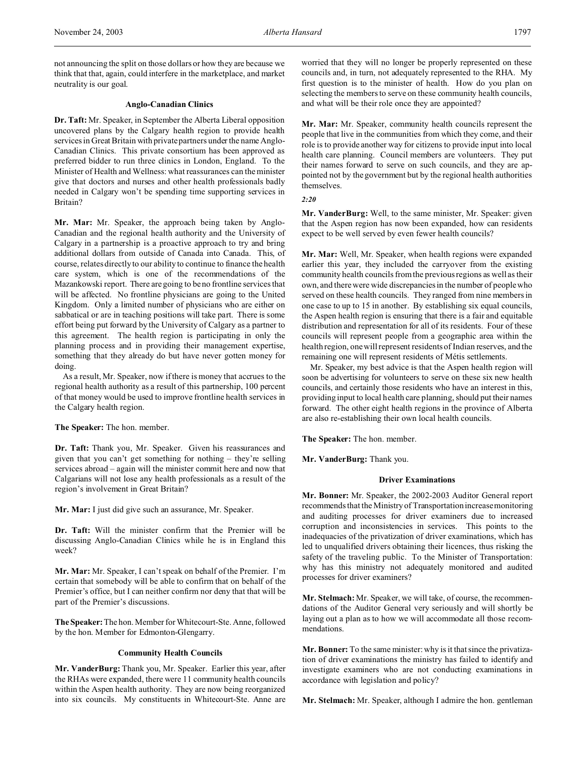not announcing the split on those dollars or how they are because we think that that, again, could interfere in the marketplace, and market neutrality is our goal.

### **Anglo-Canadian Clinics**

**Dr. Taft:** Mr. Speaker, in September the Alberta Liberal opposition uncovered plans by the Calgary health region to provide health services in Great Britain with private partners under the name Anglo-Canadian Clinics. This private consortium has been approved as preferred bidder to run three clinics in London, England. To the Minister of Health and Wellness: what reassurances can the minister give that doctors and nurses and other health professionals badly needed in Calgary won't be spending time supporting services in Britain?

**Mr. Mar:** Mr. Speaker, the approach being taken by Anglo-Canadian and the regional health authority and the University of Calgary in a partnership is a proactive approach to try and bring additional dollars from outside of Canada into Canada. This, of course, relates directly to our ability to continue to finance the health care system, which is one of the recommendations of the Mazankowski report. There are going to be no frontline services that will be affected. No frontline physicians are going to the United Kingdom. Only a limited number of physicians who are either on sabbatical or are in teaching positions will take part. There is some effort being put forward by the University of Calgary as a partner to this agreement. The health region is participating in only the planning process and in providing their management expertise, something that they already do but have never gotten money for doing.

As a result, Mr. Speaker, now if there is money that accrues to the regional health authority as a result of this partnership, 100 percent of that money would be used to improve frontline health services in the Calgary health region.

**The Speaker:** The hon. member.

**Dr. Taft:** Thank you, Mr. Speaker. Given his reassurances and given that you can't get something for nothing – they're selling services abroad – again will the minister commit here and now that Calgarians will not lose any health professionals as a result of the region's involvement in Great Britain?

**Mr. Mar:** I just did give such an assurance, Mr. Speaker.

**Dr. Taft:** Will the minister confirm that the Premier will be discussing Anglo-Canadian Clinics while he is in England this week?

**Mr. Mar:** Mr. Speaker, I can't speak on behalf of the Premier. I'm certain that somebody will be able to confirm that on behalf of the Premier's office, but I can neither confirm nor deny that that will be part of the Premier's discussions.

**The Speaker:**The hon. Member for Whitecourt-Ste. Anne, followed by the hon. Member for Edmonton-Glengarry.

## **Community Health Councils**

**Mr. VanderBurg:** Thank you, Mr. Speaker. Earlier this year, after the RHAs were expanded, there were 11 community health councils within the Aspen health authority. They are now being reorganized into six councils. My constituents in Whitecourt-Ste. Anne are worried that they will no longer be properly represented on these councils and, in turn, not adequately represented to the RHA. My first question is to the minister of health. How do you plan on selecting the members to serve on these community health councils, and what will be their role once they are appointed?

**Mr. Mar:** Mr. Speaker, community health councils represent the people that live in the communities from which they come, and their role is to provide another way for citizens to provide input into local health care planning. Council members are volunteers. They put their names forward to serve on such councils, and they are appointed not by the government but by the regional health authorities themselves.

*2:20*

**Mr. VanderBurg:** Well, to the same minister, Mr. Speaker: given that the Aspen region has now been expanded, how can residents expect to be well served by even fewer health councils?

**Mr. Mar:** Well, Mr. Speaker, when health regions were expanded earlier this year, they included the carryover from the existing community health councils from the previous regions as well as their own, and there were wide discrepancies in the number of people who served on these health councils. They ranged from nine members in one case to up to 15 in another. By establishing six equal councils, the Aspen health region is ensuring that there is a fair and equitable distribution and representation for all of its residents. Four of these councils will represent people from a geographic area within the health region, one will represent residents of Indian reserves, and the remaining one will represent residents of Métis settlements.

Mr. Speaker, my best advice is that the Aspen health region will soon be advertising for volunteers to serve on these six new health councils, and certainly those residents who have an interest in this, providing input to local health care planning, should put their names forward. The other eight health regions in the province of Alberta are also re-establishing their own local health councils.

**The Speaker:** The hon. member.

**Mr. VanderBurg:** Thank you.

### **Driver Examinations**

**Mr. Bonner:** Mr. Speaker, the 2002-2003 Auditor General report recommends that the Ministry of Transportation increase monitoring and auditing processes for driver examiners due to increased corruption and inconsistencies in services. This points to the inadequacies of the privatization of driver examinations, which has led to unqualified drivers obtaining their licences, thus risking the safety of the traveling public. To the Minister of Transportation: why has this ministry not adequately monitored and audited processes for driver examiners?

**Mr. Stelmach:** Mr. Speaker, we will take, of course, the recommendations of the Auditor General very seriously and will shortly be laying out a plan as to how we will accommodate all those recommendations.

**Mr. Bonner:** To the same minister: why is it that since the privatization of driver examinations the ministry has failed to identify and investigate examiners who are not conducting examinations in accordance with legislation and policy?

**Mr. Stelmach:** Mr. Speaker, although I admire the hon. gentleman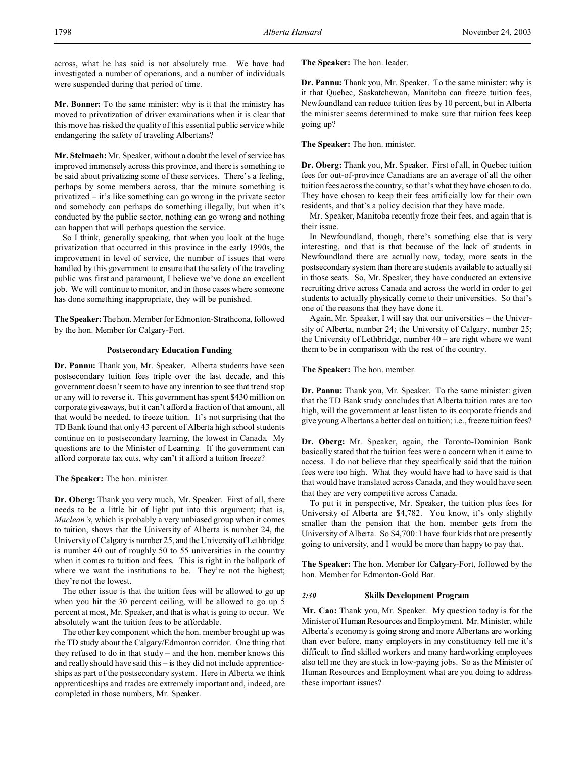across, what he has said is not absolutely true. We have had investigated a number of operations, and a number of individuals were suspended during that period of time.

**Mr. Bonner:** To the same minister: why is it that the ministry has moved to privatization of driver examinations when it is clear that this move has risked the quality of this essential public service while endangering the safety of traveling Albertans?

**Mr. Stelmach:** Mr. Speaker, without a doubt the level of service has improved immensely across this province, and there is something to be said about privatizing some of these services. There's a feeling, perhaps by some members across, that the minute something is privatized – it's like something can go wrong in the private sector and somebody can perhaps do something illegally, but when it's conducted by the public sector, nothing can go wrong and nothing can happen that will perhaps question the service.

So I think, generally speaking, that when you look at the huge privatization that occurred in this province in the early 1990s, the improvement in level of service, the number of issues that were handled by this government to ensure that the safety of the traveling public was first and paramount, I believe we've done an excellent job. We will continue to monitor, and in those cases where someone has done something inappropriate, they will be punished.

**TheSpeaker:**Thehon. Member for Edmonton-Strathcona, followed by the hon. Member for Calgary-Fort.

## **Postsecondary Education Funding**

**Dr. Pannu:** Thank you, Mr. Speaker. Alberta students have seen postsecondary tuition fees triple over the last decade, and this government doesn't seem to have any intention to see that trend stop or any will to reverse it. This government has spent \$430 million on corporate giveaways, but it can't afford a fraction of that amount, all that would be needed, to freeze tuition. It's not surprising that the TD Bank found that only 43 percent of Alberta high school students continue on to postsecondary learning, the lowest in Canada. My questions are to the Minister of Learning. If the government can afford corporate tax cuts, why can't it afford a tuition freeze?

**The Speaker:** The hon. minister.

**Dr. Oberg:** Thank you very much, Mr. Speaker. First of all, there needs to be a little bit of light put into this argument; that is, *Maclean's*, which is probably a very unbiased group when it comes to tuition, shows that the University of Alberta is number 24, the University of Calgary is number 25, and the University of Lethbridge is number 40 out of roughly 50 to 55 universities in the country when it comes to tuition and fees. This is right in the ballpark of where we want the institutions to be. They're not the highest; they're not the lowest.

The other issue is that the tuition fees will be allowed to go up when you hit the 30 percent ceiling, will be allowed to go up 5 percent at most, Mr. Speaker, and that is what is going to occur. We absolutely want the tuition fees to be affordable.

The other key component which the hon. member brought up was the TD study about the Calgary/Edmonton corridor. One thing that they refused to do in that study – and the hon. member knows this and really should have said this – is they did not include apprenticeships as part of the postsecondary system. Here in Alberta we think apprenticeships and trades are extremely important and, indeed, are completed in those numbers, Mr. Speaker.

**The Speaker:** The hon. leader.

**Dr. Pannu:** Thank you, Mr. Speaker. To the same minister: why is it that Quebec, Saskatchewan, Manitoba can freeze tuition fees, Newfoundland can reduce tuition fees by 10 percent, but in Alberta the minister seems determined to make sure that tuition fees keep going up?

### **The Speaker:** The hon. minister.

**Dr. Oberg:** Thank you, Mr. Speaker. First of all, in Quebec tuition fees for out-of-province Canadians are an average of all the other tuition fees across the country, so that's what they have chosen to do. They have chosen to keep their fees artificially low for their own residents, and that's a policy decision that they have made.

Mr. Speaker, Manitoba recently froze their fees, and again that is their issue.

In Newfoundland, though, there's something else that is very interesting, and that is that because of the lack of students in Newfoundland there are actually now, today, more seats in the postsecondary system than there are students available to actually sit in those seats. So, Mr. Speaker, they have conducted an extensive recruiting drive across Canada and across the world in order to get students to actually physically come to their universities. So that's one of the reasons that they have done it.

Again, Mr. Speaker, I will say that our universities – the University of Alberta, number 24; the University of Calgary, number 25; the University of Lethbridge, number 40 – are right where we want them to be in comparison with the rest of the country.

## **The Speaker:** The hon. member.

**Dr. Pannu:** Thank you, Mr. Speaker. To the same minister: given that the TD Bank study concludes that Alberta tuition rates are too high, will the government at least listen to its corporate friends and give young Albertans a better deal on tuition; i.e., freeze tuition fees?

**Dr. Oberg:** Mr. Speaker, again, the Toronto-Dominion Bank basically stated that the tuition fees were a concern when it came to access. I do not believe that they specifically said that the tuition fees were too high. What they would have had to have said is that that would have translated across Canada, and they would have seen that they are very competitive across Canada.

To put it in perspective, Mr. Speaker, the tuition plus fees for University of Alberta are \$4,782. You know, it's only slightly smaller than the pension that the hon. member gets from the University of Alberta. So \$4,700: I have four kids that are presently going to university, and I would be more than happy to pay that.

**The Speaker:** The hon. Member for Calgary-Fort, followed by the hon. Member for Edmonton-Gold Bar.

### *2:30* **Skills Development Program**

**Mr. Cao:** Thank you, Mr. Speaker. My question today is for the Minister of Human Resources and Employment. Mr. Minister, while Alberta's economy is going strong and more Albertans are working than ever before, many employers in my constituency tell me it's difficult to find skilled workers and many hardworking employees also tell me they are stuck in low-paying jobs. So as the Minister of Human Resources and Employment what are you doing to address these important issues?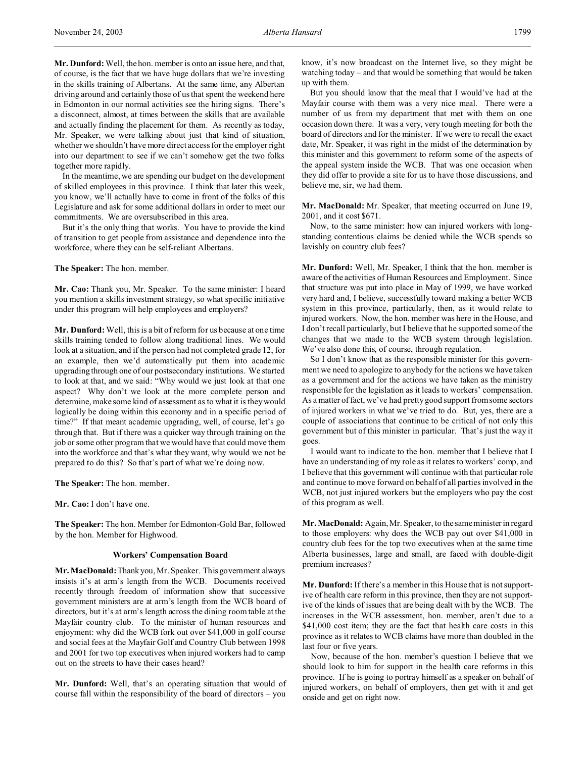**Mr. Dunford:** Well, the hon. member is onto an issue here, and that, of course, is the fact that we have huge dollars that we're investing in the skills training of Albertans. At the same time, any Albertan driving around and certainly those of us that spent the weekend here in Edmonton in our normal activities see the hiring signs. There's a disconnect, almost, at times between the skills that are available and actually finding the placement for them. As recently as today, Mr. Speaker, we were talking about just that kind of situation, whether we shouldn't have more direct access for the employer right into our department to see if we can't somehow get the two folks together more rapidly.

In the meantime, we are spending our budget on the development of skilled employees in this province. I think that later this week, you know, we'll actually have to come in front of the folks of this Legislature and ask for some additional dollars in order to meet our commitments. We are oversubscribed in this area.

But it's the only thing that works. You have to provide the kind of transition to get people from assistance and dependence into the workforce, where they can be self-reliant Albertans.

**The Speaker:** The hon. member.

**Mr. Cao:** Thank you, Mr. Speaker. To the same minister: I heard you mention a skills investment strategy, so what specific initiative under this program will help employees and employers?

**Mr. Dunford:** Well, this is a bit of reform for us because at one time skills training tended to follow along traditional lines. We would look at a situation, and if the person had not completed grade 12, for an example, then we'd automatically put them into academic upgrading through one of our postsecondary institutions. We started to look at that, and we said: "Why would we just look at that one aspect? Why don't we look at the more complete person and determine, make some kind of assessment as to what it is they would logically be doing within this economy and in a specific period of time?" If that meant academic upgrading, well, of course, let's go through that. But if there was a quicker way through training on the job or some other program that we would have that could move them into the workforce and that's what they want, why would we not be prepared to do this? So that's part of what we're doing now.

**The Speaker:** The hon. member.

**Mr. Cao:** I don't have one.

**The Speaker:** The hon. Member for Edmonton-Gold Bar, followed by the hon. Member for Highwood.

## **Workers' Compensation Board**

**Mr. MacDonald:** Thank you, Mr. Speaker. This government always insists it's at arm's length from the WCB. Documents received recently through freedom of information show that successive government ministers are at arm's length from the WCB board of directors, but it's at arm's length across the dining room table at the Mayfair country club. To the minister of human resources and enjoyment: why did the WCB fork out over \$41,000 in golf course and social fees at the Mayfair Golf and Country Club between 1998 and 2001 for two top executives when injured workers had to camp out on the streets to have their cases heard?

**Mr. Dunford:** Well, that's an operating situation that would of course fall within the responsibility of the board of directors – you

know, it's now broadcast on the Internet live, so they might be watching today – and that would be something that would be taken up with them.

But you should know that the meal that I would've had at the Mayfair course with them was a very nice meal. There were a number of us from my department that met with them on one occasion down there. It was a very, very tough meeting for both the board of directors and for the minister. If we were to recall the exact date, Mr. Speaker, it was right in the midst of the determination by this minister and this government to reform some of the aspects of the appeal system inside the WCB. That was one occasion when they did offer to provide a site for us to have those discussions, and believe me, sir, we had them.

**Mr. MacDonald:** Mr. Speaker, that meeting occurred on June 19, 2001, and it cost \$671.

Now, to the same minister: how can injured workers with longstanding contentious claims be denied while the WCB spends so lavishly on country club fees?

**Mr. Dunford:** Well, Mr. Speaker, I think that the hon. member is aware of the activities of Human Resources and Employment. Since that structure was put into place in May of 1999, we have worked very hard and, I believe, successfully toward making a better WCB system in this province, particularly, then, as it would relate to injured workers. Now, the hon. member was here in the House, and I don't recall particularly, but I believe that he supported some of the changes that we made to the WCB system through legislation. We've also done this, of course, through regulation.

So I don't know that as the responsible minister for this government we need to apologize to anybody for the actions we have taken as a government and for the actions we have taken as the ministry responsible for the legislation as it leads to workers' compensation. As a matter of fact, we've had pretty good support from some sectors of injured workers in what we've tried to do. But, yes, there are a couple of associations that continue to be critical of not only this government but of this minister in particular. That's just the way it goes.

I would want to indicate to the hon. member that I believe that I have an understanding of my role as it relates to workers' comp, and I believe that this government will continue with that particular role and continue to move forward on behalf of all parties involved in the WCB, not just injured workers but the employers who pay the cost of this program as well.

**Mr. MacDonald:** Again, Mr. Speaker, to the same minister in regard to those employers: why does the WCB pay out over \$41,000 in country club fees for the top two executives when at the same time Alberta businesses, large and small, are faced with double-digit premium increases?

**Mr. Dunford:** If there's a member in this House that is not supportive of health care reform in this province, then they are not supportive of the kinds of issues that are being dealt with by the WCB. The increases in the WCB assessment, hon. member, aren't due to a \$41,000 cost item; they are the fact that health care costs in this province as it relates to WCB claims have more than doubled in the last four or five years.

Now, because of the hon. member's question I believe that we should look to him for support in the health care reforms in this province. If he is going to portray himself as a speaker on behalf of injured workers, on behalf of employers, then get with it and get onside and get on right now.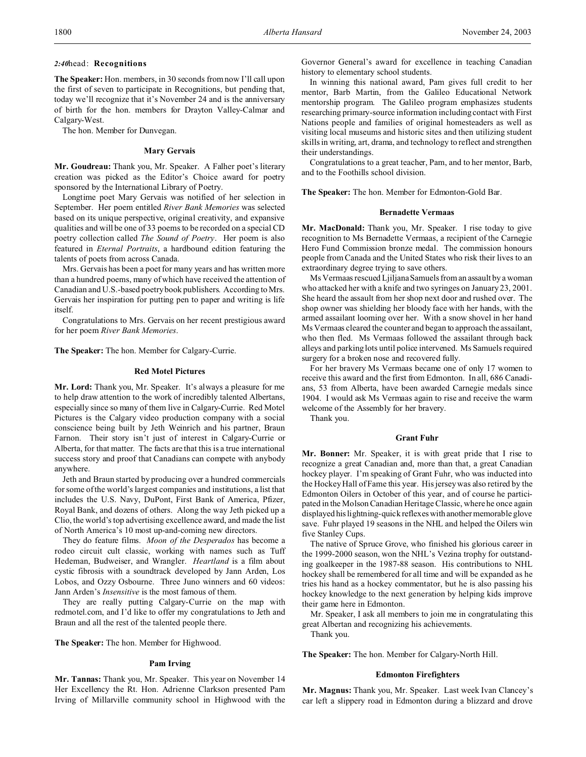## *2:40*head: **Recognitions**

**The Speaker:** Hon. members, in 30 seconds from now I'll call upon the first of seven to participate in Recognitions, but pending that, today we'll recognize that it's November 24 and is the anniversary of birth for the hon. members for Drayton Valley-Calmar and Calgary-West.

The hon. Member for Dunvegan.

### **Mary Gervais**

**Mr. Goudreau:** Thank you, Mr. Speaker. A Falher poet's literary creation was picked as the Editor's Choice award for poetry sponsored by the International Library of Poetry.

Longtime poet Mary Gervais was notified of her selection in September. Her poem entitled *River Bank Memories* was selected based on its unique perspective, original creativity, and expansive qualities and will be one of 33 poems to be recorded on a special CD poetry collection called *The Sound of Poetry*. Her poem is also featured in *Eternal Portraits*, a hardbound edition featuring the talents of poets from across Canada.

Mrs. Gervais has been a poet for many years and has written more than a hundred poems, many of which have received the attention of Canadian and U.S.-based poetry book publishers. According to Mrs. Gervais her inspiration for putting pen to paper and writing is life itself.

Congratulations to Mrs. Gervais on her recent prestigious award for her poem *River Bank Memories*.

**The Speaker:** The hon. Member for Calgary-Currie.

#### **Red Motel Pictures**

**Mr. Lord:** Thank you, Mr. Speaker. It's always a pleasure for me to help draw attention to the work of incredibly talented Albertans, especially since so many of them live in Calgary-Currie. Red Motel Pictures is the Calgary video production company with a social conscience being built by Jeth Weinrich and his partner, Braun Farnon. Their story isn't just of interest in Calgary-Currie or Alberta, for that matter. The facts are that this is a true international success story and proof that Canadians can compete with anybody anywhere.

Jeth and Braun started by producing over a hundred commercials for some of the world's largest companies and institutions, a list that includes the U.S. Navy, DuPont, First Bank of America, Pfizer, Royal Bank, and dozens of others. Along the way Jeth picked up a Clio, the world's top advertising excellence award, and made the list of North America's 10 most up-and-coming new directors.

They do feature films. *Moon of the Desperados* has become a rodeo circuit cult classic, working with names such as Tuff Hedeman, Budweiser, and Wrangler. *Heartland* is a film about cystic fibrosis with a soundtrack developed by Jann Arden, Los Lobos, and Ozzy Osbourne. Three Juno winners and 60 videos: Jann Arden's *Insensitive* is the most famous of them.

They are really putting Calgary-Currie on the map with redmotel.com, and I'd like to offer my congratulations to Jeth and Braun and all the rest of the talented people there.

**The Speaker:** The hon. Member for Highwood.

### **Pam Irving**

**Mr. Tannas:** Thank you, Mr. Speaker. This year on November 14 Her Excellency the Rt. Hon. Adrienne Clarkson presented Pam Irving of Millarville community school in Highwood with the Governor General's award for excellence in teaching Canadian history to elementary school students.

In winning this national award, Pam gives full credit to her mentor, Barb Martin, from the Galileo Educational Network mentorship program. The Galileo program emphasizes students researching primary-source information including contact with First Nations people and families of original homesteaders as well as visiting local museums and historic sites and then utilizing student skills in writing, art, drama, and technology to reflect and strengthen their understandings.

Congratulations to a great teacher, Pam, and to her mentor, Barb, and to the Foothills school division.

**The Speaker:** The hon. Member for Edmonton-Gold Bar.

#### **Bernadette Vermaas**

**Mr. MacDonald:** Thank you, Mr. Speaker. I rise today to give recognition to Ms Bernadette Vermaas, a recipient of the Carnegie Hero Fund Commission bronze medal. The commission honours people from Canada and the United States who risk their lives to an extraordinary degree trying to save others.

Ms Vermaas rescued Ljiljana Samuels from an assault by a woman who attacked her with a knife and two syringes on January 23, 2001. She heard the assault from her shop next door and rushed over. The shop owner was shielding her bloody face with her hands, with the armed assailant looming over her. With a snow shovel in her hand Ms Vermaas cleared the counter and began to approach the assailant, who then fled. Ms Vermaas followed the assailant through back alleys and parking lots until police intervened. Ms Samuels required surgery for a broken nose and recovered fully.

For her bravery Ms Vermaas became one of only 17 women to receive this award and the first from Edmonton. In all, 686 Canadians, 53 from Alberta, have been awarded Carnegie medals since 1904. I would ask Ms Vermaas again to rise and receive the warm welcome of the Assembly for her bravery.

Thank you.

## **Grant Fuhr**

**Mr. Bonner:** Mr. Speaker, it is with great pride that I rise to recognize a great Canadian and, more than that, a great Canadian hockey player. I'm speaking of Grant Fuhr, who was inducted into the Hockey Hall of Fame this year. His jersey was also retired by the Edmonton Oilers in October of this year, and of course he participated in the Molson Canadian Heritage Classic, where he once again displayed his lightning-quick reflexes with another memorable glove save. Fuhr played 19 seasons in the NHL and helped the Oilers win five Stanley Cups.

The native of Spruce Grove, who finished his glorious career in the 1999-2000 season, won the NHL's Vezina trophy for outstanding goalkeeper in the 1987-88 season. His contributions to NHL hockey shall be remembered for all time and will be expanded as he tries his hand as a hockey commentator, but he is also passing his hockey knowledge to the next generation by helping kids improve their game here in Edmonton.

Mr. Speaker, I ask all members to join me in congratulating this great Albertan and recognizing his achievements.

Thank you.

**The Speaker:** The hon. Member for Calgary-North Hill.

### **Edmonton Firefighters**

**Mr. Magnus:** Thank you, Mr. Speaker. Last week Ivan Clancey's car left a slippery road in Edmonton during a blizzard and drove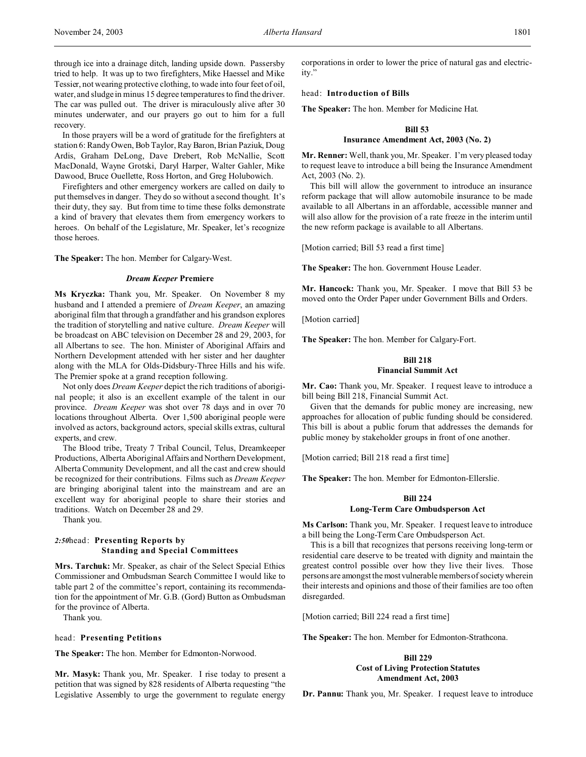through ice into a drainage ditch, landing upside down. Passersby tried to help. It was up to two firefighters, Mike Haessel and Mike Tessier, not wearing protective clothing, to wade into four feet of oil, water, and sludge in minus 15 degree temperatures to find the driver. The car was pulled out. The driver is miraculously alive after 30 minutes underwater, and our prayers go out to him for a full recovery.

In those prayers will be a word of gratitude for the firefighters at station 6: Randy Owen, Bob Taylor, Ray Baron, Brian Paziuk, Doug Ardis, Graham DeLong, Dave Drebert, Rob McNallie, Scott MacDonald, Wayne Grotski, Daryl Harper, Walter Gahler, Mike Dawood, Bruce Ouellette, Ross Horton, and Greg Holubowich.

Firefighters and other emergency workers are called on daily to put themselves in danger. They do so without a second thought. It's their duty, they say. But from time to time these folks demonstrate a kind of bravery that elevates them from emergency workers to heroes. On behalf of the Legislature, Mr. Speaker, let's recognize those heroes.

**The Speaker:** The hon. Member for Calgary-West.

#### *Dream Keeper* **Premiere**

**Ms Kryczka:** Thank you, Mr. Speaker. On November 8 my husband and I attended a premiere of *Dream Keeper*, an amazing aboriginal film that through a grandfather and his grandson explores the tradition of storytelling and native culture. *Dream Keeper* will be broadcast on ABC television on December 28 and 29, 2003, for all Albertans to see. The hon. Minister of Aboriginal Affairs and Northern Development attended with her sister and her daughter along with the MLA for Olds-Didsbury-Three Hills and his wife. The Premier spoke at a grand reception following.

Not only does *Dream Keeper* depict the rich traditions of aboriginal people; it also is an excellent example of the talent in our province. *Dream Keeper* was shot over 78 days and in over 70 locations throughout Alberta. Over 1,500 aboriginal people were involved as actors, background actors, special skills extras, cultural experts, and crew.

The Blood tribe, Treaty 7 Tribal Council, Telus, Dreamkeeper Productions, Alberta Aboriginal Affairs and Northern Development, Alberta Community Development, and all the cast and crew should be recognized for their contributions. Films such as *Dream Keeper* are bringing aboriginal talent into the mainstream and are an excellent way for aboriginal people to share their stories and traditions. Watch on December 28 and 29.

Thank you.

## *2:50*head: **Presenting Reports by Standing and Special Committees**

**Mrs. Tarchuk:** Mr. Speaker, as chair of the Select Special Ethics Commissioner and Ombudsman Search Committee I would like to table part 2 of the committee's report, containing its recommendation for the appointment of Mr. G.B. (Gord) Button as Ombudsman for the province of Alberta.

Thank you.

### head: **Presenting Petitions**

**The Speaker:** The hon. Member for Edmonton-Norwood.

**Mr. Masyk:** Thank you, Mr. Speaker. I rise today to present a petition that was signed by 828 residents of Alberta requesting "the Legislative Assembly to urge the government to regulate energy

corporations in order to lower the price of natural gas and electricity."

## head: **Introduction of Bills**

**The Speaker:** The hon. Member for Medicine Hat.

# **Bill 53 Insurance Amendment Act, 2003 (No. 2)**

**Mr. Renner:** Well, thank you, Mr. Speaker. I'm very pleased today to request leave to introduce a bill being the Insurance Amendment Act, 2003 (No. 2).

This bill will allow the government to introduce an insurance reform package that will allow automobile insurance to be made available to all Albertans in an affordable, accessible manner and will also allow for the provision of a rate freeze in the interim until the new reform package is available to all Albertans.

[Motion carried; Bill 53 read a first time]

**The Speaker:** The hon. Government House Leader.

**Mr. Hancock:** Thank you, Mr. Speaker. I move that Bill 53 be moved onto the Order Paper under Government Bills and Orders.

[Motion carried]

**The Speaker:** The hon. Member for Calgary-Fort.

# **Bill 218 Financial Summit Act**

**Mr. Cao:** Thank you, Mr. Speaker. I request leave to introduce a bill being Bill 218, Financial Summit Act.

Given that the demands for public money are increasing, new approaches for allocation of public funding should be considered. This bill is about a public forum that addresses the demands for public money by stakeholder groups in front of one another.

[Motion carried; Bill 218 read a first time]

**The Speaker:** The hon. Member for Edmonton-Ellerslie.

### **Bill 224**

### **Long-Term Care Ombudsperson Act**

**Ms Carlson:** Thank you, Mr. Speaker. I request leave to introduce a bill being the Long-Term Care Ombudsperson Act.

This is a bill that recognizes that persons receiving long-term or residential care deserve to be treated with dignity and maintain the greatest control possible over how they live their lives. Those persons are amongst the most vulnerable members of society wherein their interests and opinions and those of their families are too often disregarded.

[Motion carried; Bill 224 read a first time]

**The Speaker:** The hon. Member for Edmonton-Strathcona.

## **Bill 229 Cost of Living Protection Statutes Amendment Act, 2003**

**Dr. Pannu:** Thank you, Mr. Speaker. I request leave to introduce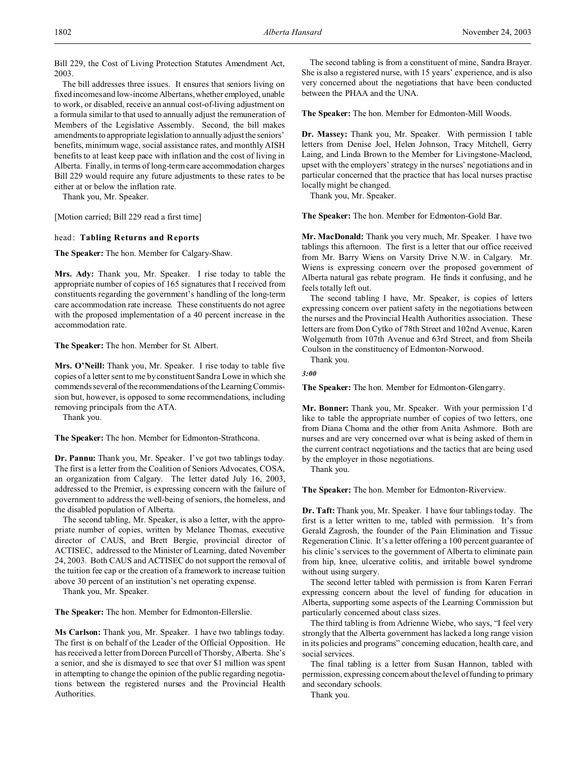Bill 229, the Cost of Living Protection Statutes Amendment Act, 2003.

The bill addresses three issues. It ensures that seniors living on fixed incomes and low-income Albertans, whether employed, unable to work, or disabled, receive an annual cost-of-living adjustment on a formula similar to that used to annually adjust the remuneration of Members of the Legislative Assembly. Second, the bill makes amendments to appropriate legislation to annually adjust the seniors' benefits, minimum wage, social assistance rates, and monthly AISH benefits to at least keep pace with inflation and the cost of living in Alberta. Finally, in terms of long-term care accommodation charges Bill 229 would require any future adjustments to these rates to be either at or below the inflation rate.

Thank you, Mr. Speaker.

[Motion carried; Bill 229 read a first time]

head: **Tabling Returns and Reports**

**The Speaker:** The hon. Member for Calgary-Shaw.

**Mrs. Ady:** Thank you, Mr. Speaker. I rise today to table the appropriate number of copies of 165 signatures that I received from constituents regarding the government's handling of the long-term care accommodation rate increase. These constituents do not agree with the proposed implementation of a 40 percent increase in the accommodation rate.

**The Speaker:** The hon. Member for St. Albert.

**Mrs. O'Neill:** Thank you, Mr. Speaker. I rise today to table five copies of a letter sent to me by constituent Sandra Lowe in which she commends several of the recommendations of the Learning Commission but, however, is opposed to some recommendations, including removing principals from the ATA.

Thank you.

**The Speaker:** The hon. Member for Edmonton-Strathcona.

**Dr. Pannu:** Thank you, Mr. Speaker. I've got two tablings today. The first is a letter from the Coalition of Seniors Advocates, COSA, an organization from Calgary. The letter dated July 16, 2003, addressed to the Premier, is expressing concern with the failure of government to address the well-being of seniors, the homeless, and the disabled population of Alberta.

The second tabling, Mr. Speaker, is also a letter, with the appropriate number of copies, written by Melanee Thomas, executive director of CAUS, and Brett Bergie, provincial director of ACTISEC, addressed to the Minister of Learning, dated November 24, 2003. Both CAUS and ACTISEC do not support the removal of the tuition fee cap or the creation of a framework to increase tuition above 30 percent of an institution's net operating expense.

Thank you, Mr. Speaker.

**The Speaker:** The hon. Member for Edmonton-Ellerslie.

**Ms Carlson:** Thank you, Mr. Speaker. I have two tablings today. The first is on behalf of the Leader of the Official Opposition. He has received a letter from Doreen Purcell of Thorsby, Alberta. She's a senior, and she is dismayed to see that over \$1 million was spent in attempting to change the opinion of the public regarding negotiations between the registered nurses and the Provincial Health Authorities.

The second tabling is from a constituent of mine, Sandra Brayer. She is also a registered nurse, with 15 years' experience, and is also very concerned about the negotiations that have been conducted between the PHAA and the UNA.

**The Speaker:** The hon. Member for Edmonton-Mill Woods.

**Dr. Massey:** Thank you, Mr. Speaker. With permission I table letters from Denise Joel, Helen Johnson, Tracy Mitchell, Gerry Laing, and Linda Brown to the Member for Livingstone-Macleod, upset with the employers' strategy in the nurses' negotiations and in particular concerned that the practice that has local nurses practise locally might be changed.

Thank you, Mr. Speaker.

**The Speaker:** The hon. Member for Edmonton-Gold Bar.

**Mr. MacDonald:** Thank you very much, Mr. Speaker. I have two tablings this afternoon. The first is a letter that our office received from Mr. Barry Wiens on Varsity Drive N.W. in Calgary. Mr. Wiens is expressing concern over the proposed government of Alberta natural gas rebate program. He finds it confusing, and he feels totally left out.

The second tabling I have, Mr. Speaker, is copies of letters expressing concern over patient safety in the negotiations between the nurses and the Provincial Health Authorities association. These letters are from Don Cytko of 78th Street and 102nd Avenue, Karen Wolgemuth from 107th Avenue and 63rd Street, and from Sheila Coulson in the constituency of Edmonton-Norwood.

Thank you.

# *3:00*

**The Speaker:** The hon. Member for Edmonton-Glengarry.

**Mr. Bonner:** Thank you, Mr. Speaker. With your permission I'd like to table the appropriate number of copies of two letters, one from Diana Choma and the other from Anita Ashmore. Both are nurses and are very concerned over what is being asked of them in the current contract negotiations and the tactics that are being used by the employer in those negotiations.

Thank you.

**The Speaker:** The hon. Member for Edmonton-Riverview.

**Dr. Taft:** Thank you, Mr. Speaker. I have four tablings today. The first is a letter written to me, tabled with permission. It's from Gerald Zagrosh, the founder of the Pain Elimination and Tissue Regeneration Clinic. It's a letter offering a 100 percent guarantee of his clinic's services to the government of Alberta to eliminate pain from hip, knee, ulcerative colitis, and irritable bowel syndrome without using surgery.

The second letter tabled with permission is from Karen Ferrari expressing concern about the level of funding for education in Alberta, supporting some aspects of the Learning Commission but particularly concerned about class sizes.

The third tabling is from Adrienne Wiebe, who says, "I feel very strongly that the Alberta government has lacked a long range vision in its policies and programs" concerning education, health care, and social services.

The final tabling is a letter from Susan Hannon, tabled with permission, expressing concern about the level of funding to primary and secondary schools.

Thank you.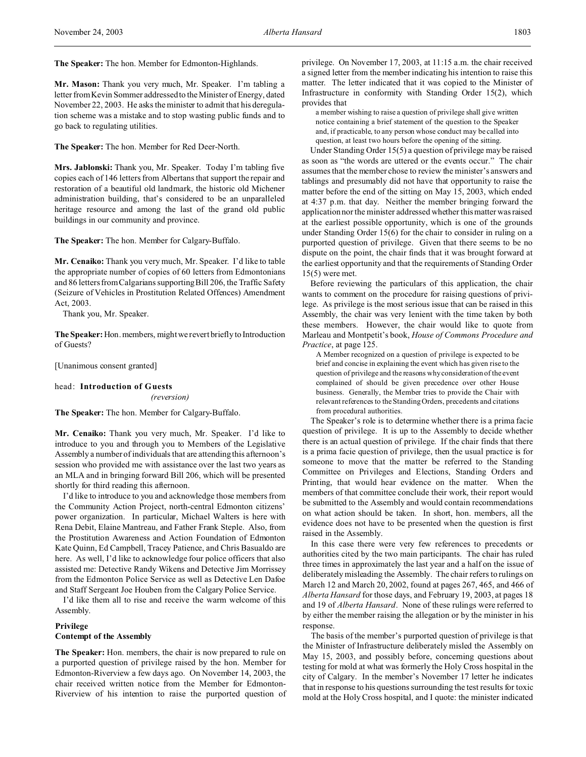**The Speaker:** The hon. Member for Edmonton-Highlands.

**Mr. Mason:** Thank you very much, Mr. Speaker. I'm tabling a letter from Kevin Sommer addressed to the Minister of Energy, dated November 22, 2003. He asks the minister to admit that his deregulation scheme was a mistake and to stop wasting public funds and to go back to regulating utilities.

**The Speaker:** The hon. Member for Red Deer-North.

**Mrs. Jablonski:** Thank you, Mr. Speaker. Today I'm tabling five copies each of 146 letters from Albertans that support the repair and restoration of a beautiful old landmark, the historic old Michener administration building, that's considered to be an unparalleled heritage resource and among the last of the grand old public buildings in our community and province.

**The Speaker:** The hon. Member for Calgary-Buffalo.

**Mr. Cenaiko:** Thank you very much, Mr. Speaker. I'd like to table the appropriate number of copies of 60 letters from Edmontonians and 86 letters from Calgarians supporting Bill 206, the Traffic Safety (Seizure of Vehicles in Prostitution Related Offences) Amendment Act, 2003.

Thank you, Mr. Speaker.

**The Speaker:** Hon. members, might we revert briefly to Introduction of Guests?

[Unanimous consent granted]

### head: **Introduction of Guests**

*(reversion)*

**The Speaker:** The hon. Member for Calgary-Buffalo.

**Mr. Cenaiko:** Thank you very much, Mr. Speaker. I'd like to introduce to you and through you to Members of the Legislative Assembly a number of individuals that are attending this afternoon's session who provided me with assistance over the last two years as an MLA and in bringing forward Bill 206, which will be presented shortly for third reading this afternoon.

I'd like to introduce to you and acknowledge those members from the Community Action Project, north-central Edmonton citizens' power organization. In particular, Michael Walters is here with Rena Debit, Elaine Mantreau, and Father Frank Steple. Also, from the Prostitution Awareness and Action Foundation of Edmonton Kate Quinn, Ed Campbell, Tracey Patience, and Chris Basualdo are here. As well, I'd like to acknowledge four police officers that also assisted me: Detective Randy Wikens and Detective Jim Morrissey from the Edmonton Police Service as well as Detective Len Dafoe and Staff Sergeant Joe Houben from the Calgary Police Service.

I'd like them all to rise and receive the warm welcome of this Assembly.

## **Privilege**

## **Contempt of the Assembly**

**The Speaker:** Hon. members, the chair is now prepared to rule on a purported question of privilege raised by the hon. Member for Edmonton-Riverview a few days ago. On November 14, 2003, the chair received written notice from the Member for Edmonton-Riverview of his intention to raise the purported question of privilege. On November 17, 2003, at 11:15 a.m. the chair received a signed letter from the member indicating his intention to raise this matter. The letter indicated that it was copied to the Minister of Infrastructure in conformity with Standing Order 15(2), which provides that

a member wishing to raise a question of privilege shall give written notice containing a brief statement of the question to the Speaker and, if practicable, to any person whose conduct may be called into question, at least two hours before the opening of the sitting.

Under Standing Order 15(5) a question of privilege may be raised as soon as "the words are uttered or the events occur." The chair assumes that the member chose to review the minister's answers and tablings and presumably did not have that opportunity to raise the matter before the end of the sitting on May 15, 2003, which ended at 4:37 p.m. that day. Neither the member bringing forward the application nor the minister addressed whether this matter was raised at the earliest possible opportunity, which is one of the grounds under Standing Order 15(6) for the chair to consider in ruling on a purported question of privilege. Given that there seems to be no dispute on the point, the chair finds that it was brought forward at the earliest opportunity and that the requirements of Standing Order 15(5) were met.

Before reviewing the particulars of this application, the chair wants to comment on the procedure for raising questions of privilege. As privilege is the most serious issue that can be raised in this Assembly, the chair was very lenient with the time taken by both these members. However, the chair would like to quote from Marleau and Montpetit's book, *House of Commons Procedure and Practice*, at page 125.

A Member recognized on a question of privilege is expected to be brief and concise in explaining the event which has given rise to the question of privilege and the reasons why consideration of the event complained of should be given precedence over other House business. Generally, the Member tries to provide the Chair with relevant references to the Standing Orders, precedents and citations from procedural authorities.

The Speaker's role is to determine whether there is a prima facie question of privilege. It is up to the Assembly to decide whether there is an actual question of privilege. If the chair finds that there is a prima facie question of privilege, then the usual practice is for someone to move that the matter be referred to the Standing Committee on Privileges and Elections, Standing Orders and Printing, that would hear evidence on the matter. When the members of that committee conclude their work, their report would be submitted to the Assembly and would contain recommendations on what action should be taken. In short, hon. members, all the evidence does not have to be presented when the question is first raised in the Assembly.

In this case there were very few references to precedents or authorities cited by the two main participants. The chair has ruled three times in approximately the last year and a half on the issue of deliberately misleading the Assembly. The chair refers to rulings on March 12 and March 20, 2002, found at pages 267, 465, and 466 of *Alberta Hansard* for those days, and February 19, 2003, at pages 18 and 19 of *Alberta Hansard*. None of these rulings were referred to by either the member raising the allegation or by the minister in his response.

The basis of the member's purported question of privilege is that the Minister of Infrastructure deliberately misled the Assembly on May 15, 2003, and possibly before, concerning questions about testing for mold at what was formerly the Holy Cross hospital in the city of Calgary. In the member's November 17 letter he indicates that in response to his questions surrounding the test results for toxic mold at the Holy Cross hospital, and I quote: the minister indicated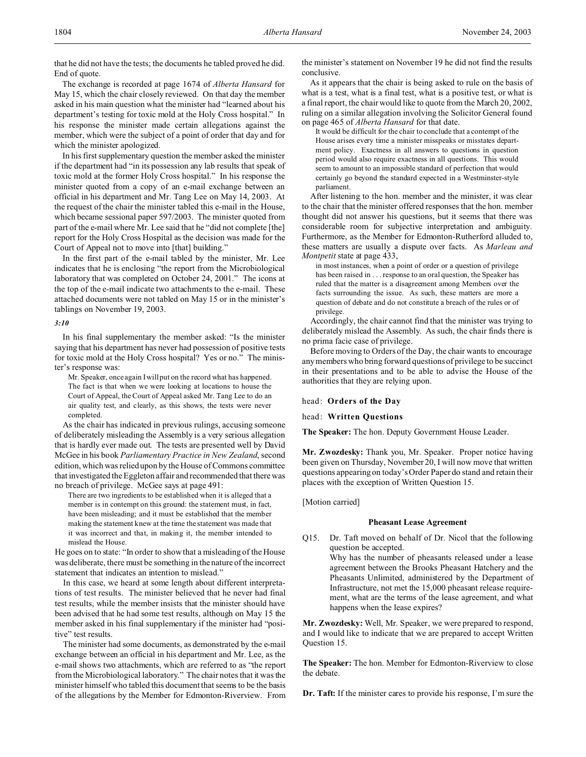that he did not have the tests; the documents he tabled proved he did. End of quote.

The exchange is recorded at page 1674 of *Alberta Hansard* for May 15, which the chair closely reviewed. On that day the member asked in his main question what the minister had "learned about his department's testing for toxic mold at the Holy Cross hospital." In his response the minister made certain allegations against the member, which were the subject of a point of order that day and for which the minister apologized.

In his first supplementary question the member asked the minister if the department had "in its possession any lab results that speak of toxic mold at the former Holy Cross hospital." In his response the minister quoted from a copy of an e-mail exchange between an official in his department and Mr. Tang Lee on May 14, 2003. At the request of the chair the minister tabled this e-mail in the House, which became sessional paper 597/2003. The minister quoted from part of the e-mail where Mr. Lee said that he "did not complete [the] report for the Holy Cross Hospital as the decision was made for the Court of Appeal not to move into [that] building."

In the first part of the e-mail tabled by the minister, Mr. Lee indicates that he is enclosing "the report from the Microbiological laboratory that was completed on October 24, 2001." The icons at the top of the e-mail indicate two attachments to the e-mail. These attached documents were not tabled on May 15 or in the minister's tablings on November 19, 2003.

#### *3:10*

In his final supplementary the member asked: "Is the minister saying that his department has never had possession of positive tests for toxic mold at the Holy Cross hospital? Yes or no." The minister's response was:

Mr. Speaker, once again I will put on the record what has happened. The fact is that when we were looking at locations to house the Court of Appeal, the Court of Appeal asked Mr. Tang Lee to do an air quality test, and clearly, as this shows, the tests were never completed.

As the chair has indicated in previous rulings, accusing someone of deliberately misleading the Assembly is a very serious allegation that is hardly ever made out. The tests are presented well by David McGee in his book *Parliamentary Practice in New Zealand*, second edition, which was relied upon by the House of Commons committee that investigated the Eggleton affair and recommended that there was no breach of privilege. McGee says at page 491:

There are two ingredients to be established when it is alleged that a member is in contempt on this ground: the statement must, in fact, have been misleading; and it must be established that the member making the statement knew at the time the statement was made that it was incorrect and that, in making it, the member intended to mislead the House.

He goes on to state: "In order to show that a misleading of the House was deliberate, there must be something in the nature of the incorrect statement that indicates an intention to mislead."

In this case, we heard at some length about different interpretations of test results. The minister believed that he never had final test results, while the member insists that the minister should have been advised that he had some test results, although on May 15 the member asked in his final supplementary if the minister had "positive" test results.

The minister had some documents, as demonstrated by the e-mail exchange between an official in his department and Mr. Lee, as the e-mail shows two attachments, which are referred to as "the report from the Microbiological laboratory." The chair notes that it was the minister himself who tabled this document that seems to be the basis of the allegations by the Member for Edmonton-Riverview. From

the minister's statement on November 19 he did not find the results conclusive.

As it appears that the chair is being asked to rule on the basis of what is a test, what is a final test, what is a positive test, or what is a final report, the chair would like to quote from the March 20, 2002, ruling on a similar allegation involving the Solicitor General found on page 465 of *Alberta Hansard* for that date.

It would be difficult for the chair to conclude that a contempt of the House arises every time a minister misspeaks or misstates department policy. Exactness in all answers to questions in question period would also require exactness in all questions. This would seem to amount to an impossible standard of perfection that would certainly go beyond the standard expected in a Westminster-style parliament.

After listening to the hon. member and the minister, it was clear to the chair that the minister offered responses that the hon. member thought did not answer his questions, but it seems that there was considerable room for subjective interpretation and ambiguity. Furthermore, as the Member for Edmonton-Rutherford alluded to, these matters are usually a dispute over facts. As *Marleau and Montpetit* state at page 433,

in most instances, when a point of order or a question of privilege has been raised in . . . response to an oral question, the Speaker has ruled that the matter is a disagreement among Members over the facts surrounding the issue. As such, these matters are more a question of debate and do not constitute a breach of the rules or of privilege.

Accordingly, the chair cannot find that the minister was trying to deliberately mislead the Assembly. As such, the chair finds there is no prima facie case of privilege.

Before moving to Orders of the Day, the chair wants to encourage any members who bring forward questions of privilege to be succinct in their presentations and to be able to advise the House of the authorities that they are relying upon.

head: **Orders of the Day**

head: **Written Questions**

**The Speaker:** The hon. Deputy Government House Leader.

**Mr. Zwozdesky:** Thank you, Mr. Speaker. Proper notice having been given on Thursday, November 20, I will now move that written questions appearing on today's Order Paper do stand and retain their places with the exception of Written Question 15.

[Motion carried]

#### **Pheasant Lease Agreement**

Q15. Dr. Taft moved on behalf of Dr. Nicol that the following question be accepted.

Why has the number of pheasants released under a lease agreement between the Brooks Pheasant Hatchery and the Pheasants Unlimited, administered by the Department of Infrastructure, not met the 15,000 pheasant release requirement, what are the terms of the lease agreement, and what happens when the lease expires?

**Mr. Zwozdesky:** Well, Mr. Speaker, we were prepared to respond, and I would like to indicate that we are prepared to accept Written Question 15.

**The Speaker:** The hon. Member for Edmonton-Riverview to close the debate.

**Dr. Taft:** If the minister cares to provide his response, I'm sure the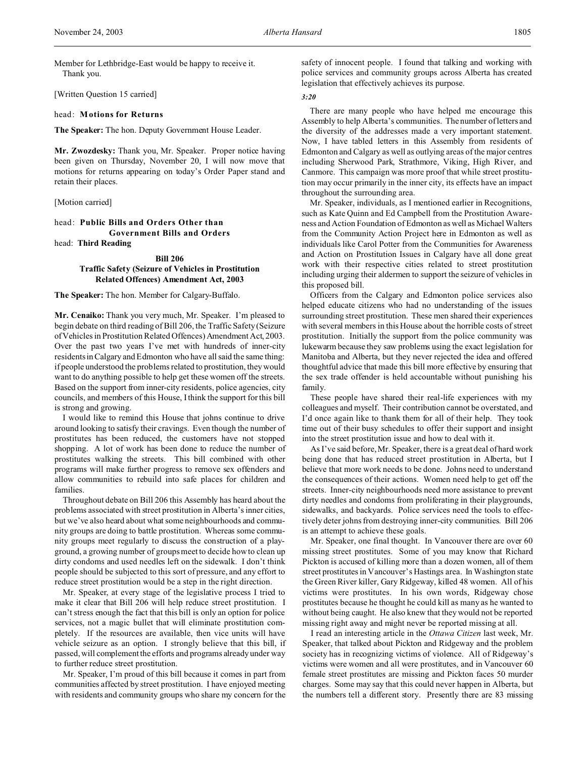Member for Lethbridge-East would be happy to receive it. Thank you.

[Written Question 15 carried]

head: **Motions for Returns**

**The Speaker:** The hon. Deputy Government House Leader.

**Mr. Zwozdesky:** Thank you, Mr. Speaker. Proper notice having been given on Thursday, November 20, I will now move that motions for returns appearing on today's Order Paper stand and retain their places.

[Motion carried]

head: **Public Bills and Orders Other than Government Bills and Orders** head: **Third Reading**

## **Bill 206 Traffic Safety (Seizure of Vehicles in Prostitution Related Offences) Amendment Act, 2003**

**The Speaker:** The hon. Member for Calgary-Buffalo.

**Mr. Cenaiko:** Thank you very much, Mr. Speaker. I'm pleased to begin debate on third reading of Bill 206, the Traffic Safety (Seizure ofVehicles in Prostitution Related Offences) Amendment Act, 2003. Over the past two years I've met with hundreds of inner-city residents in Calgary and Edmonton who have all said the same thing: if people understood the problems related to prostitution, they would want to do anything possible to help get these women off the streets. Based on the support from inner-city residents, police agencies, city councils, and members of this House, I think the support for this bill is strong and growing.

I would like to remind this House that johns continue to drive around looking to satisfy their cravings. Even though the number of prostitutes has been reduced, the customers have not stopped shopping. A lot of work has been done to reduce the number of prostitutes walking the streets. This bill combined with other programs will make further progress to remove sex offenders and allow communities to rebuild into safe places for children and families.

Throughout debate on Bill 206 this Assembly has heard about the problems associated with street prostitution in Alberta's inner cities, but we've also heard about what some neighbourhoods and community groups are doing to battle prostitution. Whereas some community groups meet regularly to discuss the construction of a playground, a growing number of groups meet to decide how to clean up dirty condoms and used needles left on the sidewalk. I don't think people should be subjected to this sort of pressure, and any effort to reduce street prostitution would be a step in the right direction.

Mr. Speaker, at every stage of the legislative process I tried to make it clear that Bill 206 will help reduce street prostitution. I can't stress enough the fact that this bill is only an option for police services, not a magic bullet that will eliminate prostitution completely. If the resources are available, then vice units will have vehicle seizure as an option. I strongly believe that this bill, if passed, will complement the efforts and programs already under way to further reduce street prostitution.

Mr. Speaker, I'm proud of this bill because it comes in part from communities affected by street prostitution. I have enjoyed meeting with residents and community groups who share my concern for the safety of innocent people. I found that talking and working with police services and community groups across Alberta has created legislation that effectively achieves its purpose.

#### *3:20*

There are many people who have helped me encourage this Assembly to help Alberta's communities. The number of letters and the diversity of the addresses made a very important statement. Now, I have tabled letters in this Assembly from residents of Edmonton and Calgary as well as outlying areas of the major centres including Sherwood Park, Strathmore, Viking, High River, and Canmore. This campaign was more proof that while street prostitution may occur primarily in the inner city, its effects have an impact throughout the surrounding area.

Mr. Speaker, individuals, as I mentioned earlier in Recognitions, such as Kate Quinn and Ed Campbell from the Prostitution Awareness and Action Foundation of Edmonton as well as Michael Walters from the Community Action Project here in Edmonton as well as individuals like Carol Potter from the Communities for Awareness and Action on Prostitution Issues in Calgary have all done great work with their respective cities related to street prostitution including urging their aldermen to support the seizure of vehicles in this proposed bill.

Officers from the Calgary and Edmonton police services also helped educate citizens who had no understanding of the issues surrounding street prostitution. These men shared their experiences with several members in this House about the horrible costs of street prostitution. Initially the support from the police community was lukewarm because they saw problems using the exact legislation for Manitoba and Alberta, but they never rejected the idea and offered thoughtful advice that made this bill more effective by ensuring that the sex trade offender is held accountable without punishing his family.

These people have shared their real-life experiences with my colleagues and myself. Their contribution cannot be overstated, and I'd once again like to thank them for all of their help. They took time out of their busy schedules to offer their support and insight into the street prostitution issue and how to deal with it.

As I've said before, Mr. Speaker, there is a great deal of hard work being done that has reduced street prostitution in Alberta, but I believe that more work needs to be done. Johns need to understand the consequences of their actions. Women need help to get off the streets. Inner-city neighbourhoods need more assistance to prevent dirty needles and condoms from proliferating in their playgrounds, sidewalks, and backyards. Police services need the tools to effectively deter johns from destroying inner-city communities. Bill 206 is an attempt to achieve these goals.

Mr. Speaker, one final thought. In Vancouver there are over 60 missing street prostitutes. Some of you may know that Richard Pickton is accused of killing more than a dozen women, all of them street prostitutes in Vancouver's Hastings area. In Washington state the Green River killer, Gary Ridgeway, killed 48 women. All of his victims were prostitutes. In his own words, Ridgeway chose prostitutes because he thought he could kill as many as he wanted to without being caught. He also knew that they would not be reported missing right away and might never be reported missing at all.

I read an interesting article in the *Ottawa Citizen* last week, Mr. Speaker, that talked about Pickton and Ridgeway and the problem society has in recognizing victims of violence. All of Ridgeway's victims were women and all were prostitutes, and in Vancouver 60 female street prostitutes are missing and Pickton faces 50 murder charges. Some may say that this could never happen in Alberta, but the numbers tell a different story. Presently there are 83 missing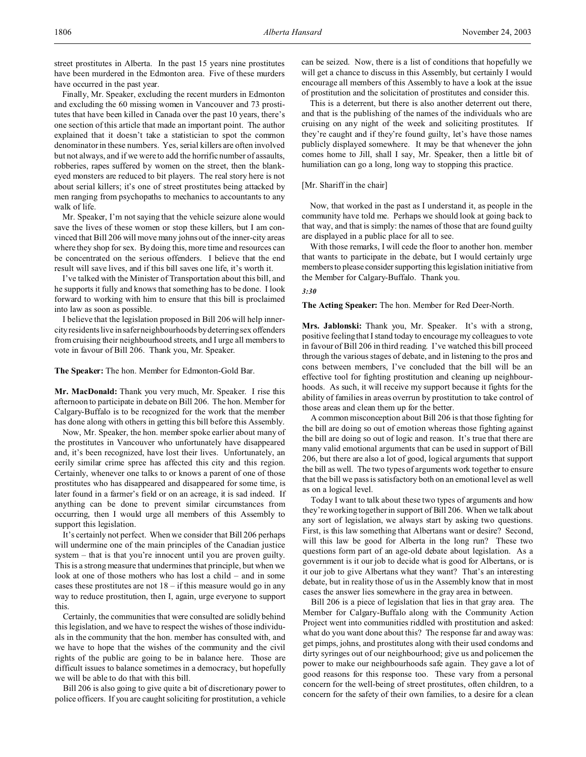street prostitutes in Alberta. In the past 15 years nine prostitutes have been murdered in the Edmonton area. Five of these murders have occurred in the past year.

Finally, Mr. Speaker, excluding the recent murders in Edmonton and excluding the 60 missing women in Vancouver and 73 prostitutes that have been killed in Canada over the past 10 years, there's one section of this article that made an important point. The author explained that it doesn't take a statistician to spot the common denominator in these numbers. Yes, serial killers are often involved but not always, and if we were to add the horrific number of assaults, robberies, rapes suffered by women on the street, then the blankeyed monsters are reduced to bit players. The real story here is not about serial killers; it's one of street prostitutes being attacked by men ranging from psychopaths to mechanics to accountants to any walk of life.

Mr. Speaker, I'm not saying that the vehicle seizure alone would save the lives of these women or stop these killers, but I am convinced that Bill 206 will move many johns out of the inner-city areas where they shop for sex. By doing this, more time and resources can be concentrated on the serious offenders. I believe that the end result will save lives, and if this bill saves one life, it's worth it.

I've talked with the Minister of Transportation about this bill, and he supports it fully and knows that something has to be done. I look forward to working with him to ensure that this bill is proclaimed into law as soon as possible.

I believe that the legislation proposed in Bill 206 will help innercity residents live in safer neighbourhoods by deterring sex offenders from cruising their neighbourhood streets, and I urge all members to vote in favour of Bill 206. Thank you, Mr. Speaker.

### **The Speaker:** The hon. Member for Edmonton-Gold Bar.

**Mr. MacDonald:** Thank you very much, Mr. Speaker. I rise this afternoon to participate in debate on Bill 206. The hon. Member for Calgary-Buffalo is to be recognized for the work that the member has done along with others in getting this bill before this Assembly.

Now, Mr. Speaker, the hon. member spoke earlier about many of the prostitutes in Vancouver who unfortunately have disappeared and, it's been recognized, have lost their lives. Unfortunately, an eerily similar crime spree has affected this city and this region. Certainly, whenever one talks to or knows a parent of one of those prostitutes who has disappeared and disappeared for some time, is later found in a farmer's field or on an acreage, it is sad indeed. If anything can be done to prevent similar circumstances from occurring, then I would urge all members of this Assembly to support this legislation.

It's certainly not perfect. When we consider that Bill 206 perhaps will undermine one of the main principles of the Canadian justice system – that is that you're innocent until you are proven guilty. This is a strong measure that undermines that principle, but when we look at one of those mothers who has lost a child – and in some cases these prostitutes are not  $18 - if this measure would go in any$ way to reduce prostitution, then I, again, urge everyone to support this.

Certainly, the communities that were consulted are solidly behind this legislation, and we have to respect the wishes of those individuals in the community that the hon. member has consulted with, and we have to hope that the wishes of the community and the civil rights of the public are going to be in balance here. Those are difficult issues to balance sometimes in a democracy, but hopefully we will be able to do that with this bill.

Bill 206 is also going to give quite a bit of discretionary power to police officers. If you are caught soliciting for prostitution, a vehicle can be seized. Now, there is a list of conditions that hopefully we will get a chance to discuss in this Assembly, but certainly I would encourage all members of this Assembly to have a look at the issue of prostitution and the solicitation of prostitutes and consider this.

This is a deterrent, but there is also another deterrent out there, and that is the publishing of the names of the individuals who are cruising on any night of the week and soliciting prostitutes. If they're caught and if they're found guilty, let's have those names publicly displayed somewhere. It may be that whenever the john comes home to Jill, shall I say, Mr. Speaker, then a little bit of humiliation can go a long, long way to stopping this practice.

## [Mr. Shariff in the chair]

Now, that worked in the past as I understand it, as people in the community have told me. Perhaps we should look at going back to that way, and that is simply: the names of those that are found guilty are displayed in a public place for all to see.

With those remarks, I will cede the floor to another hon. member that wants to participate in the debate, but I would certainly urge members to please consider supporting this legislation initiative from the Member for Calgary-Buffalo. Thank you.

### *3:30*

**The Acting Speaker:** The hon. Member for Red Deer-North.

**Mrs. Jablonski:** Thank you, Mr. Speaker. It's with a strong, positive feeling that I stand today to encourage my colleagues to vote in favour of Bill 206 in third reading. I've watched this bill proceed through the various stages of debate, and in listening to the pros and cons between members, I've concluded that the bill will be an effective tool for fighting prostitution and cleaning up neighbourhoods. As such, it will receive my support because it fights for the ability of families in areas overrun by prostitution to take control of those areas and clean them up for the better.

A common misconception about Bill 206 is that those fighting for the bill are doing so out of emotion whereas those fighting against the bill are doing so out of logic and reason. It's true that there are many valid emotional arguments that can be used in support of Bill 206, but there are also a lot of good, logical arguments that support the bill as well. The two types of arguments work together to ensure that the bill we pass is satisfactory both on an emotional level as well as on a logical level.

Today I want to talk about these two types of arguments and how they're working together in support of Bill 206. When we talk about any sort of legislation, we always start by asking two questions. First, is this law something that Albertans want or desire? Second, will this law be good for Alberta in the long run? These two questions form part of an age-old debate about legislation. As a government is it our job to decide what is good for Albertans, or is it our job to give Albertans what they want? That's an interesting debate, but in reality those of us in the Assembly know that in most cases the answer lies somewhere in the gray area in between.

Bill 206 is a piece of legislation that lies in that gray area. The Member for Calgary-Buffalo along with the Community Action Project went into communities riddled with prostitution and asked: what do you want done about this? The response far and away was: get pimps, johns, and prostitutes along with their used condoms and dirty syringes out of our neighbourhood; give us and policemen the power to make our neighbourhoods safe again. They gave a lot of good reasons for this response too. These vary from a personal concern for the well-being of street prostitutes, often children, to a concern for the safety of their own families, to a desire for a clean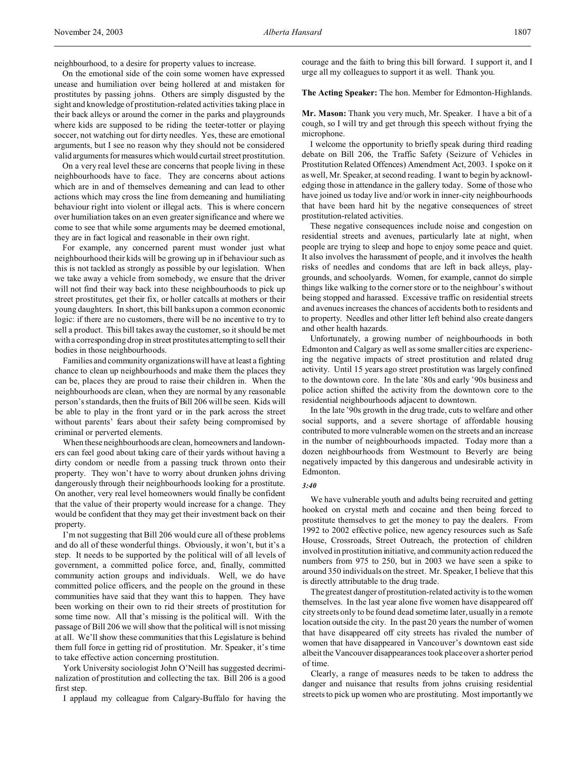On the emotional side of the coin some women have expressed unease and humiliation over being hollered at and mistaken for prostitutes by passing johns. Others are simply disgusted by the sight and knowledge of prostitution-related activities taking place in their back alleys or around the corner in the parks and playgrounds where kids are supposed to be riding the teeter-totter or playing soccer, not watching out for dirty needles. Yes, these are emotional arguments, but I see no reason why they should not be considered valid arguments for measures which would curtail street prostitution.

On a very real level these are concerns that people living in these neighbourhoods have to face. They are concerns about actions which are in and of themselves demeaning and can lead to other actions which may cross the line from demeaning and humiliating behaviour right into violent or illegal acts. This is where concern over humiliation takes on an even greater significance and where we come to see that while some arguments may be deemed emotional, they are in fact logical and reasonable in their own right.

For example, any concerned parent must wonder just what neighbourhood their kids will be growing up in if behaviour such as this is not tackled as strongly as possible by our legislation. When we take away a vehicle from somebody, we ensure that the driver will not find their way back into these neighbourhoods to pick up street prostitutes, get their fix, or holler catcalls at mothers or their young daughters. In short, this bill banks upon a common economic logic: if there are no customers, there will be no incentive to try to sell a product. This bill takes away the customer, so it should be met with a corresponding drop in street prostitutes attempting to sell their bodies in those neighbourhoods.

Families and community organizations will have at least a fighting chance to clean up neighbourhoods and make them the places they can be, places they are proud to raise their children in. When the neighbourhoods are clean, when they are normal by any reasonable person's standards, then the fruits of Bill 206 will be seen. Kids will be able to play in the front yard or in the park across the street without parents' fears about their safety being compromised by criminal or perverted elements.

When these neighbourhoods are clean, homeowners and landowners can feel good about taking care of their yards without having a dirty condom or needle from a passing truck thrown onto their property. They won't have to worry about drunken johns driving dangerously through their neighbourhoods looking for a prostitute. On another, very real level homeowners would finally be confident that the value of their property would increase for a change. They would be confident that they may get their investment back on their property.

I'm not suggesting that Bill 206 would cure all of these problems and do all of these wonderful things. Obviously, it won't, but it's a step. It needs to be supported by the political will of all levels of government, a committed police force, and, finally, committed community action groups and individuals. Well, we do have committed police officers, and the people on the ground in these communities have said that they want this to happen. They have been working on their own to rid their streets of prostitution for some time now. All that's missing is the political will. With the passage of Bill 206 we will show that the political will is not missing at all. We'll show these communities that this Legislature is behind them full force in getting rid of prostitution. Mr. Speaker, it's time to take effective action concerning prostitution.

York University sociologist John O'Neill has suggested decriminalization of prostitution and collecting the tax. Bill 206 is a good first step.

I applaud my colleague from Calgary-Buffalo for having the

courage and the faith to bring this bill forward. I support it, and I urge all my colleagues to support it as well. Thank you.

**The Acting Speaker:** The hon. Member for Edmonton-Highlands.

**Mr. Mason:** Thank you very much, Mr. Speaker. I have a bit of a cough, so I will try and get through this speech without frying the microphone.

I welcome the opportunity to briefly speak during third reading debate on Bill 206, the Traffic Safety (Seizure of Vehicles in Prostitution Related Offences) Amendment Act, 2003. I spoke on it as well, Mr. Speaker, at second reading. I want to begin by acknowledging those in attendance in the gallery today. Some of those who have joined us today live and/or work in inner-city neighbourhoods that have been hard hit by the negative consequences of street prostitution-related activities.

These negative consequences include noise and congestion on residential streets and avenues, particularly late at night, when people are trying to sleep and hope to enjoy some peace and quiet. It also involves the harassment of people, and it involves the health risks of needles and condoms that are left in back alleys, playgrounds, and schoolyards. Women, for example, cannot do simple things like walking to the corner store or to the neighbour's without being stopped and harassed. Excessive traffic on residential streets and avenues increases the chances of accidents both to residents and to property. Needles and other litter left behind also create dangers and other health hazards.

Unfortunately, a growing number of neighbourhoods in both Edmonton and Calgary as well as some smaller cities are experiencing the negative impacts of street prostitution and related drug activity. Until 15 years ago street prostitution was largely confined to the downtown core. In the late '80s and early '90s business and police action shifted the activity from the downtown core to the residential neighbourhoods adjacent to downtown.

In the late '90s growth in the drug trade, cuts to welfare and other social supports, and a severe shortage of affordable housing contributed to more vulnerable women on the streets and an increase in the number of neighbourhoods impacted. Today more than a dozen neighbourhoods from Westmount to Beverly are being negatively impacted by this dangerous and undesirable activity in Edmonton.

#### *3:40*

We have vulnerable youth and adults being recruited and getting hooked on crystal meth and cocaine and then being forced to prostitute themselves to get the money to pay the dealers. From 1992 to 2002 effective police, new agency resources such as Safe House, Crossroads, Street Outreach, the protection of children involved in prostitution initiative, and community action reduced the numbers from 975 to 250, but in 2003 we have seen a spike to around 350 individuals on the street. Mr. Speaker, I believe that this is directly attributable to the drug trade.

The greatest danger of prostitution-related activity is to the women themselves. In the last year alone five women have disappeared off city streets only to be found dead sometime later, usually in a remote location outside the city. In the past 20 years the number of women that have disappeared off city streets has rivaled the number of women that have disappeared in Vancouver's downtown east side albeit the Vancouver disappearances took place over a shorter period of time.

Clearly, a range of measures needs to be taken to address the danger and nuisance that results from johns cruising residential streets to pick up women who are prostituting. Most importantly we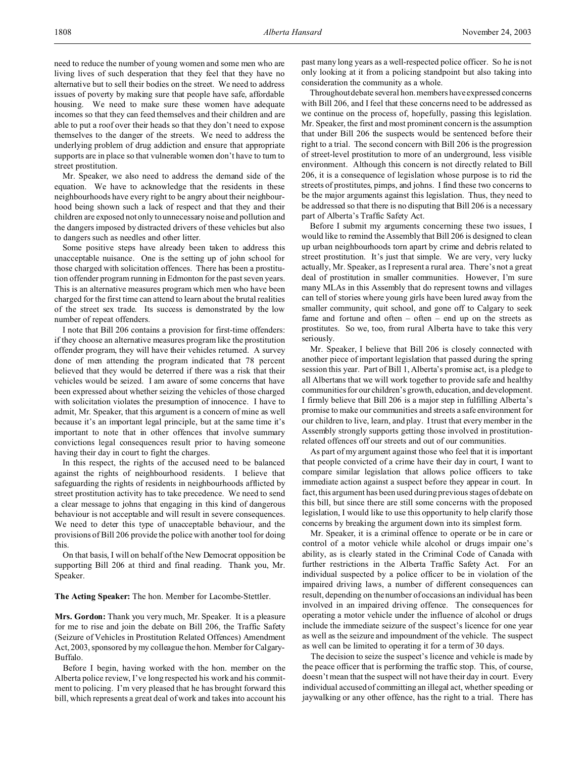need to reduce the number of young women and some men who are living lives of such desperation that they feel that they have no alternative but to sell their bodies on the street. We need to address issues of poverty by making sure that people have safe, affordable housing. We need to make sure these women have adequate incomes so that they can feed themselves and their children and are able to put a roof over their heads so that they don't need to expose themselves to the danger of the streets. We need to address the underlying problem of drug addiction and ensure that appropriate supports are in place so that vulnerable women don't have to turn to street prostitution.

Mr. Speaker, we also need to address the demand side of the equation. We have to acknowledge that the residents in these neighbourhoods have every right to be angry about their neighbourhood being shown such a lack of respect and that they and their children are exposed not only to unnecessary noise and pollution and the dangers imposed by distracted drivers of these vehicles but also to dangers such as needles and other litter.

Some positive steps have already been taken to address this unacceptable nuisance. One is the setting up of john school for those charged with solicitation offences. There has been a prostitution offender program running in Edmonton for the past seven years. This is an alternative measures program which men who have been charged for the first time can attend to learn about the brutal realities of the street sex trade. Its success is demonstrated by the low number of repeat offenders.

I note that Bill 206 contains a provision for first-time offenders: if they choose an alternative measures program like the prostitution offender program, they will have their vehicles returned. A survey done of men attending the program indicated that 78 percent believed that they would be deterred if there was a risk that their vehicles would be seized. I am aware of some concerns that have been expressed about whether seizing the vehicles of those charged with solicitation violates the presumption of innocence. I have to admit, Mr. Speaker, that this argument is a concern of mine as well because it's an important legal principle, but at the same time it's important to note that in other offences that involve summary convictions legal consequences result prior to having someone having their day in court to fight the charges.

In this respect, the rights of the accused need to be balanced against the rights of neighbourhood residents. I believe that safeguarding the rights of residents in neighbourhoods afflicted by street prostitution activity has to take precedence. We need to send a clear message to johns that engaging in this kind of dangerous behaviour is not acceptable and will result in severe consequences. We need to deter this type of unacceptable behaviour, and the provisions of Bill 206 provide the police with another tool for doing this.

On that basis, I will on behalf of the New Democrat opposition be supporting Bill 206 at third and final reading. Thank you, Mr. Speaker.

**The Acting Speaker:** The hon. Member for Lacombe-Stettler.

**Mrs. Gordon:** Thank you very much, Mr. Speaker. It is a pleasure for me to rise and join the debate on Bill 206, the Traffic Safety (Seizure of Vehicles in Prostitution Related Offences) Amendment Act, 2003, sponsored by my colleague the hon. Member for Calgary-Buffalo.

Before I begin, having worked with the hon. member on the Alberta police review, I've long respected his work and his commitment to policing. I'm very pleased that he has brought forward this bill, which represents a great deal of work and takes into account his past many long years as a well-respected police officer. So he is not only looking at it from a policing standpoint but also taking into consideration the community as a whole.

Throughout debate several hon. members have expressed concerns with Bill 206, and I feel that these concerns need to be addressed as we continue on the process of, hopefully, passing this legislation. Mr. Speaker, the first and most prominent concern is the assumption that under Bill 206 the suspects would be sentenced before their right to a trial. The second concern with Bill 206 is the progression of street-level prostitution to more of an underground, less visible environment. Although this concern is not directly related to Bill 206, it is a consequence of legislation whose purpose is to rid the streets of prostitutes, pimps, and johns. I find these two concerns to be the major arguments against this legislation. Thus, they need to be addressed so that there is no disputing that Bill 206 is a necessary part of Alberta's Traffic Safety Act.

Before I submit my arguments concerning these two issues, I would like to remind the Assembly that Bill 206 is designed to clean up urban neighbourhoods torn apart by crime and debris related to street prostitution. It's just that simple. We are very, very lucky actually, Mr. Speaker, as I represent a rural area. There's not a great deal of prostitution in smaller communities. However, I'm sure many MLAs in this Assembly that do represent towns and villages can tell of stories where young girls have been lured away from the smaller community, quit school, and gone off to Calgary to seek fame and fortune and often – often – end up on the streets as prostitutes. So we, too, from rural Alberta have to take this very seriously.

Mr. Speaker, I believe that Bill 206 is closely connected with another piece of important legislation that passed during the spring session this year. Part of Bill 1, Alberta's promise act, is a pledge to all Albertans that we will work together to provide safe and healthy communities for our children's growth, education, and development. I firmly believe that Bill 206 is a major step in fulfilling Alberta's promise to make our communities and streets a safe environment for our children to live, learn, and play. I trust that every member in the Assembly strongly supports getting those involved in prostitutionrelated offences off our streets and out of our communities.

As part of my argument against those who feel that it is important that people convicted of a crime have their day in court, I want to compare similar legislation that allows police officers to take immediate action against a suspect before they appear in court. In fact, this argument has been used during previous stages of debate on this bill, but since there are still some concerns with the proposed legislation, I would like to use this opportunity to help clarify those concerns by breaking the argument down into its simplest form.

Mr. Speaker, it is a criminal offence to operate or be in care or control of a motor vehicle while alcohol or drugs impair one's ability, as is clearly stated in the Criminal Code of Canada with further restrictions in the Alberta Traffic Safety Act. For an individual suspected by a police officer to be in violation of the impaired driving laws, a number of different consequences can result, depending on the number of occasions an individual has been involved in an impaired driving offence. The consequences for operating a motor vehicle under the influence of alcohol or drugs include the immediate seizure of the suspect's licence for one year as well as the seizure and impoundment of the vehicle. The suspect as well can be limited to operating it for a term of 30 days.

The decision to seize the suspect's licence and vehicle is made by the peace officer that is performing the traffic stop. This, of course, doesn't mean that the suspect will not have their day in court. Every individual accused of committing an illegal act, whether speeding or jaywalking or any other offence, has the right to a trial. There has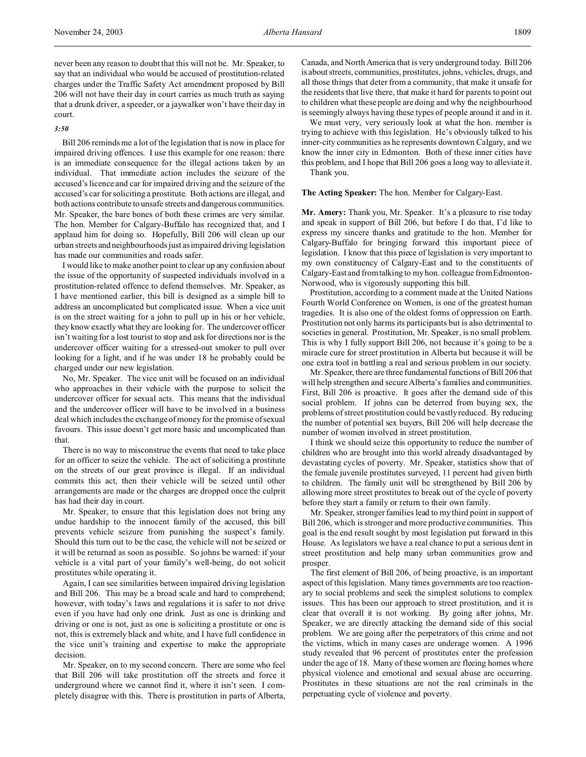never been any reason to doubt that this will not be. Mr. Speaker, to say that an individual who would be accused of prostitution-related charges under the Traffic Safety Act amendment proposed by Bill 206 will not have their day in court carries as much truth as saying that a drunk driver, a speeder, or a jaywalker won't have their day in court.

### *3:50*

Bill 206 reminds me a lot of the legislation that is now in place for impaired driving offences. I use this example for one reason: there is an immediate consequence for the illegal actions taken by an individual. That immediate action includes the seizure of the accused's licence and car for impaired driving and the seizure of the accused's car for soliciting a prostitute. Both actions are illegal, and both actions contribute to unsafe streets and dangerous communities. Mr. Speaker, the bare bones of both these crimes are very similar. The hon. Member for Calgary-Buffalo has recognized that, and I applaud him for doing so. Hopefully, Bill 206 will clean up our urban streets and neighbourhoods just as impaired driving legislation has made our communities and roads safer.

I would like to make another point to clear up any confusion about the issue of the opportunity of suspected individuals involved in a prostitution-related offence to defend themselves. Mr. Speaker, as I have mentioned earlier, this bill is designed as a simple bill to address an uncomplicated but complicated issue. When a vice unit is on the street waiting for a john to pull up in his or her vehicle, they know exactly what they are looking for. The undercover officer isn't waiting for a lost tourist to stop and ask for directions nor is the undercover officer waiting for a stressed-out smoker to pull over looking for a light, and if he was under 18 he probably could be charged under our new legislation.

No, Mr. Speaker. The vice unit will be focused on an individual who approaches in their vehicle with the purpose to solicit the undercover officer for sexual acts. This means that the individual and the undercover officer will have to be involved in a business deal which includes the exchange of money for the promise of sexual favours. This issue doesn't get more basic and uncomplicated than that.

There is no way to misconstrue the events that need to take place for an officer to seize the vehicle. The act of soliciting a prostitute on the streets of our great province is illegal. If an individual commits this act, then their vehicle will be seized until other arrangements are made or the charges are dropped once the culprit has had their day in court.

Mr. Speaker, to ensure that this legislation does not bring any undue hardship to the innocent family of the accused, this bill prevents vehicle seizure from punishing the suspect's family. Should this turn out to be the case, the vehicle will not be seized or it will be returned as soon as possible. So johns be warned: if your vehicle is a vital part of your family's well-being, do not solicit prostitutes while operating it.

Again, I can see similarities between impaired driving legislation and Bill 206. This may be a broad scale and hard to comprehend; however, with today's laws and regulations it is safer to not drive even if you have had only one drink. Just as one is drinking and driving or one is not, just as one is soliciting a prostitute or one is not, this is extremely black and white, and I have full confidence in the vice unit's training and expertise to make the appropriate decision.

Mr. Speaker, on to my second concern. There are some who feel that Bill 206 will take prostitution off the streets and force it underground where we cannot find it, where it isn't seen. I completely disagree with this. There is prostitution in parts of Alberta,

Canada, and North America that is very underground today. Bill 206 is about streets, communities, prostitutes, johns, vehicles, drugs, and all those things that deter from a community, that make it unsafe for the residents that live there, that make it hard for parents to point out to children what these people are doing and why the neighbourhood is seemingly always having these types of people around it and in it.

We must very, very seriously look at what the hon. member is trying to achieve with this legislation. He's obviously talked to his inner-city communities as he represents downtown Calgary, and we know the inner city in Edmonton. Both of these inner cities have this problem, and I hope that Bill 206 goes a long way to alleviate it. Thank you.

**The Acting Speaker:** The hon. Member for Calgary-East.

**Mr. Amery:** Thank you, Mr. Speaker. It's a pleasure to rise today and speak in support of Bill 206, but before I do that, I'd like to express my sincere thanks and gratitude to the hon. Member for Calgary-Buffalo for bringing forward this important piece of legislation. I know that this piece of legislation is very important to my own constituency of Calgary-East and to the constituents of Calgary-East and from talking to my hon. colleague from Edmonton-Norwood, who is vigorously supporting this bill.

Prostitution, according to a comment made at the United Nations Fourth World Conference on Women, is one of the greatest human tragedies. It is also one of the oldest forms of oppression on Earth. Prostitution not only harms its participants but is also detrimental to societies in general. Prostitution, Mr. Speaker, is no small problem. This is why I fully support Bill 206, not because it's going to be a miracle cure for street prostitution in Alberta but because it will be one extra tool in battling a real and serious problem in our society.

Mr. Speaker, there are three fundamental functions of Bill 206 that will help strengthen and secure Alberta's families and communities. First, Bill 206 is proactive. It goes after the demand side of this social problem. If johns can be deterred from buying sex, the problems of street prostitution could be vastly reduced. By reducing the number of potential sex buyers, Bill 206 will help decrease the number of women involved in street prostitution.

I think we should seize this opportunity to reduce the number of children who are brought into this world already disadvantaged by devastating cycles of poverty. Mr. Speaker, statistics show that of the female juvenile prostitutes surveyed, 11 percent had given birth to children. The family unit will be strengthened by Bill 206 by allowing more street prostitutes to break out of the cycle of poverty before they start a family or return to their own family.

Mr. Speaker, stronger families lead to my third point in support of Bill 206, which is stronger and more productive communities. This goal is the end result sought by most legislation put forward in this House. As legislators we have a real chance to put a serious dent in street prostitution and help many urban communities grow and prosper.

The first element of Bill 206, of being proactive, is an important aspect of this legislation. Many times governments are too reactionary to social problems and seek the simplest solutions to complex issues. This has been our approach to street prostitution, and it is clear that overall it is not working. By going after johns, Mr. Speaker, we are directly attacking the demand side of this social problem. We are going after the perpetrators of this crime and not the victims, which in many cases are underage women. A 1996 study revealed that 96 percent of prostitutes enter the profession under the age of 18. Many of these women are fleeing homes where physical violence and emotional and sexual abuse are occurring. Prostitutes in these situations are not the real criminals in the perpetuating cycle of violence and poverty.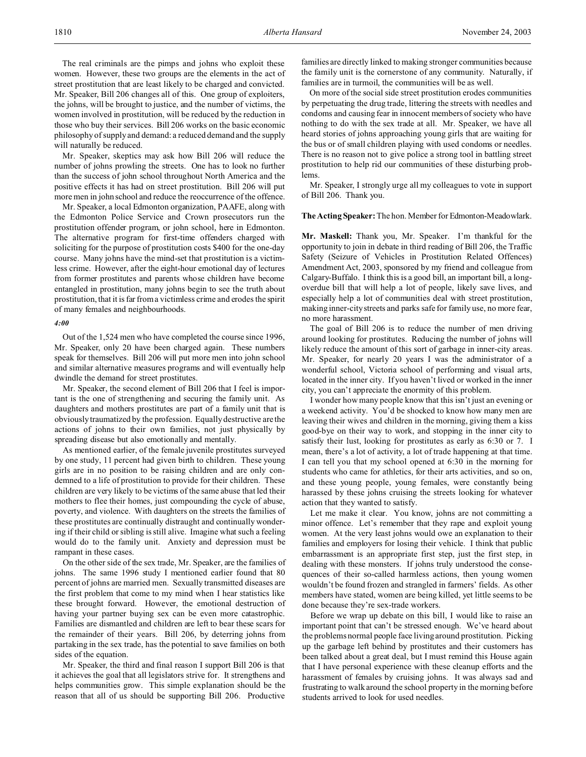The real criminals are the pimps and johns who exploit these women. However, these two groups are the elements in the act of street prostitution that are least likely to be charged and convicted. Mr. Speaker, Bill 206 changes all of this. One group of exploiters, the johns, will be brought to justice, and the number of victims, the women involved in prostitution, will be reduced by the reduction in those who buy their services. Bill 206 works on the basic economic philosophy of supply and demand: a reduced demand and the supply will naturally be reduced.

Mr. Speaker, skeptics may ask how Bill 206 will reduce the number of johns prowling the streets. One has to look no further than the success of john school throughout North America and the positive effects it has had on street prostitution. Bill 206 will put more men in john school and reduce the reoccurrence of the offence.

Mr. Speaker, a local Edmonton organization, PAAFE, along with the Edmonton Police Service and Crown prosecutors run the prostitution offender program, or john school, here in Edmonton. The alternative program for first-time offenders charged with soliciting for the purpose of prostitution costs \$400 for the one-day course. Many johns have the mind-set that prostitution is a victimless crime. However, after the eight-hour emotional day of lectures from former prostitutes and parents whose children have become entangled in prostitution, many johns begin to see the truth about prostitution, that it is far from a victimless crime and erodes the spirit of many females and neighbourhoods.

#### *4:00*

Out of the 1,524 men who have completed the course since 1996, Mr. Speaker, only 20 have been charged again. These numbers speak for themselves. Bill 206 will put more men into john school and similar alternative measures programs and will eventually help dwindle the demand for street prostitutes.

Mr. Speaker, the second element of Bill 206 that I feel is important is the one of strengthening and securing the family unit. As daughters and mothers prostitutes are part of a family unit that is obviously traumatized by the profession. Equally destructive are the actions of johns to their own families, not just physically by spreading disease but also emotionally and mentally.

As mentioned earlier, of the female juvenile prostitutes surveyed by one study, 11 percent had given birth to children. These young girls are in no position to be raising children and are only condemned to a life of prostitution to provide for their children. These children are very likely to be victims of the same abuse that led their mothers to flee their homes, just compounding the cycle of abuse, poverty, and violence. With daughters on the streets the families of these prostitutes are continually distraught and continually wondering if their child or sibling is still alive. Imagine what such a feeling would do to the family unit. Anxiety and depression must be rampant in these cases.

On the other side of the sex trade, Mr. Speaker, are the families of johns. The same 1996 study I mentioned earlier found that 80 percent of johns are married men. Sexually transmitted diseases are the first problem that come to my mind when I hear statistics like these brought forward. However, the emotional destruction of having your partner buying sex can be even more catastrophic. Families are dismantled and children are left to bear these scars for the remainder of their years. Bill 206, by deterring johns from partaking in the sex trade, has the potential to save families on both sides of the equation.

Mr. Speaker, the third and final reason I support Bill 206 is that it achieves the goal that all legislators strive for. It strengthens and helps communities grow. This simple explanation should be the reason that all of us should be supporting Bill 206. Productive families are directly linked to making stronger communities because the family unit is the cornerstone of any community. Naturally, if families are in turmoil, the communities will be as well.

On more of the social side street prostitution erodes communities by perpetuating the drug trade, littering the streets with needles and condoms and causing fear in innocent members of society who have nothing to do with the sex trade at all. Mr. Speaker, we have all heard stories of johns approaching young girls that are waiting for the bus or of small children playing with used condoms or needles. There is no reason not to give police a strong tool in battling street prostitution to help rid our communities of these disturbing problems.

Mr. Speaker, I strongly urge all my colleagues to vote in support of Bill 206. Thank you.

## **The Acting Speaker:** The hon. Member for Edmonton-Meadowlark.

**Mr. Maskell:** Thank you, Mr. Speaker. I'm thankful for the opportunity to join in debate in third reading of Bill 206, the Traffic Safety (Seizure of Vehicles in Prostitution Related Offences) Amendment Act, 2003, sponsored by my friend and colleague from Calgary-Buffalo. I think this is a good bill, an important bill, a longoverdue bill that will help a lot of people, likely save lives, and especially help a lot of communities deal with street prostitution, making inner-city streets and parks safe for family use, no more fear, no more harassment.

The goal of Bill 206 is to reduce the number of men driving around looking for prostitutes. Reducing the number of johns will likely reduce the amount of this sort of garbage in inner-city areas. Mr. Speaker, for nearly 20 years I was the administrator of a wonderful school, Victoria school of performing and visual arts, located in the inner city. If you haven't lived or worked in the inner city, you can't appreciate the enormity of this problem.

I wonder how many people know that this isn't just an evening or a weekend activity. You'd be shocked to know how many men are leaving their wives and children in the morning, giving them a kiss good-bye on their way to work, and stopping in the inner city to satisfy their lust, looking for prostitutes as early as 6:30 or 7. I mean, there's a lot of activity, a lot of trade happening at that time. I can tell you that my school opened at 6:30 in the morning for students who came for athletics, for their arts activities, and so on, and these young people, young females, were constantly being harassed by these johns cruising the streets looking for whatever action that they wanted to satisfy.

Let me make it clear. You know, johns are not committing a minor offence. Let's remember that they rape and exploit young women. At the very least johns would owe an explanation to their families and employers for losing their vehicle. I think that public embarrassment is an appropriate first step, just the first step, in dealing with these monsters. If johns truly understood the consequences of their so-called harmless actions, then young women wouldn't be found frozen and strangled in farmers' fields. As other members have stated, women are being killed, yet little seems to be done because they're sex-trade workers.

Before we wrap up debate on this bill, I would like to raise an important point that can't be stressed enough. We've heard about the problems normal people face living around prostitution. Picking up the garbage left behind by prostitutes and their customers has been talked about a great deal, but I must remind this House again that I have personal experience with these cleanup efforts and the harassment of females by cruising johns. It was always sad and frustrating to walk around the school property in the morning before students arrived to look for used needles.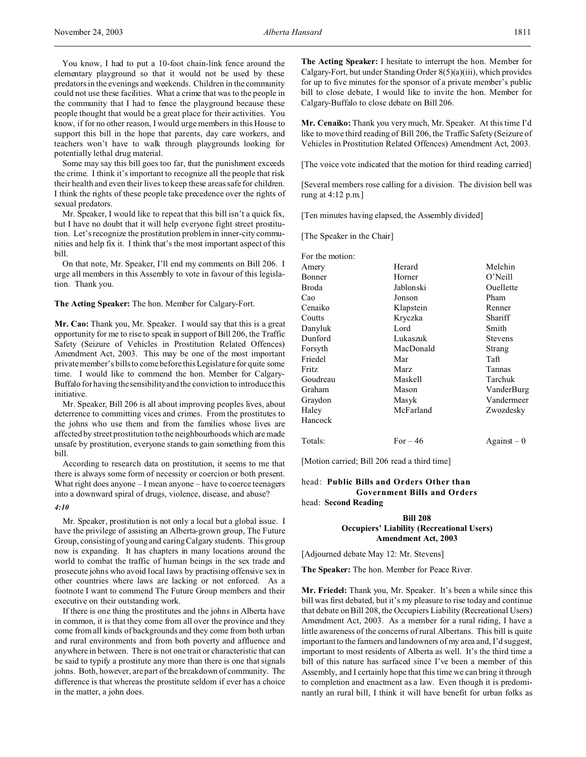You know, I had to put a 10-foot chain-link fence around the elementary playground so that it would not be used by these predators in the evenings and weekends. Children in the community could not use these facilities. What a crime that was to the people in the community that I had to fence the playground because these people thought that would be a great place for their activities. You know, if for no other reason, I would urge members in this House to support this bill in the hope that parents, day care workers, and teachers won't have to walk through playgrounds looking for potentially lethal drug material.

Some may say this bill goes too far, that the punishment exceeds the crime. I think it's important to recognize all the people that risk their health and even their lives to keep these areas safe for children. I think the rights of these people take precedence over the rights of sexual predators.

Mr. Speaker, I would like to repeat that this bill isn't a quick fix, but I have no doubt that it will help everyone fight street prostitution. Let's recognize the prostitution problem in inner-city communities and help fix it. I think that's the most important aspect of this bill.

On that note, Mr. Speaker, I'll end my comments on Bill 206. I urge all members in this Assembly to vote in favour of this legislation. Thank you.

**The Acting Speaker:** The hon. Member for Calgary-Fort.

**Mr. Cao:** Thank you, Mr. Speaker. I would say that this is a great opportunity for me to rise to speak in support of Bill 206, the Traffic Safety (Seizure of Vehicles in Prostitution Related Offences) Amendment Act, 2003. This may be one of the most important private member's bills to come before this Legislature for quite some time. I would like to commend the hon. Member for Calgary-Buffalo for having the sensibility and the conviction to introduce this initiative.

Mr. Speaker, Bill 206 is all about improving peoples lives, about deterrence to committing vices and crimes. From the prostitutes to the johns who use them and from the families whose lives are affected by street prostitution to the neighbourhoods which are made unsafe by prostitution, everyone stands to gain something from this bill.

According to research data on prostitution, it seems to me that there is always some form of necessity or coercion or both present. What right does anyone – I mean anyone – have to coerce teenagers into a downward spiral of drugs, violence, disease, and abuse?

### *4:10*

Mr. Speaker, prostitution is not only a local but a global issue. I have the privilege of assisting an Alberta-grown group, The Future Group, consisting of young and caring Calgary students. This group now is expanding. It has chapters in many locations around the world to combat the traffic of human beings in the sex trade and prosecute johns who avoid local laws by practising offensive sex in other countries where laws are lacking or not enforced. As a footnote I want to commend The Future Group members and their executive on their outstanding work.

If there is one thing the prostitutes and the johns in Alberta have in common, it is that they come from all over the province and they come from all kinds of backgrounds and they come from both urban and rural environments and from both poverty and affluence and anywhere in between. There is not one trait or characteristic that can be said to typify a prostitute any more than there is one that signals johns. Both, however, are part of the breakdown of community. The difference is that whereas the prostitute seldom if ever has a choice in the matter, a john does.

**The Acting Speaker:** I hesitate to interrupt the hon. Member for Calgary-Fort, but under Standing Order 8(5)(a)(iii), which provides for up to five minutes for the sponsor of a private member's public bill to close debate, I would like to invite the hon. Member for Calgary-Buffalo to close debate on Bill 206.

**Mr. Cenaiko:** Thank you very much, Mr. Speaker. At this time I'd like to move third reading of Bill 206, the Traffic Safety (Seizure of Vehicles in Prostitution Related Offences) Amendment Act, 2003.

[The voice vote indicated that the motion for third reading carried]

[Several members rose calling for a division. The division bell was rung at 4:12 p.m.]

[Ten minutes having elapsed, the Assembly divided]

[The Speaker in the Chair]

| For the motion: |             |                                         |
|-----------------|-------------|-----------------------------------------|
| Amery           | Herard      | Melchin                                 |
| Bonner          | Horner      | $O'$ Neill                              |
| Broda           | Jablonski   | Ouellette                               |
| Cao             | Jonson      | Pham                                    |
| Cenaiko         | Klapstein   | Renner                                  |
| Coutts          | Kryczka     | Shariff                                 |
| Danyluk         | Lord        | Smith                                   |
| Dunford         | Lukaszuk    | <b>Stevens</b>                          |
| Forsyth         | MacDonald   | Strang                                  |
| Friedel         | Mar         | Taft                                    |
| Fritz           | <b>Marz</b> | Tannas                                  |
| Goudreau        | Maskell     | Tarchuk                                 |
| Graham          | Mason       | VanderBurg                              |
| Graydon         | Masyk       | Vandermeer                              |
| Haley           | McFarland   | Zwozdesky                               |
| Hancock         |             |                                         |
| Totals:         | For $-46$   | $\text{Again} \mathbf{st} - \mathbf{0}$ |

[Motion carried; Bill 206 read a third time]

## head: **Public Bills and Orders Other than Government Bills and Orders** head: **Second Reading**

## **Bill 208 Occupiers' Liability (Recreational Users) Amendment Act, 2003**

[Adjourned debate May 12: Mr. Stevens]

**The Speaker:** The hon. Member for Peace River.

**Mr. Friedel:** Thank you, Mr. Speaker. It's been a while since this bill was first debated, but it's my pleasure to rise today and continue that debate on Bill 208, the Occupiers Liability (Recreational Users) Amendment Act, 2003. As a member for a rural riding, I have a little awareness of the concerns of rural Albertans. This bill is quite important to the farmers and landowners of my area and, I'd suggest, important to most residents of Alberta as well. It's the third time a bill of this nature has surfaced since I've been a member of this Assembly, and I certainly hope that this time we can bring it through to completion and enactment as a law. Even though it is predominantly an rural bill, I think it will have benefit for urban folks as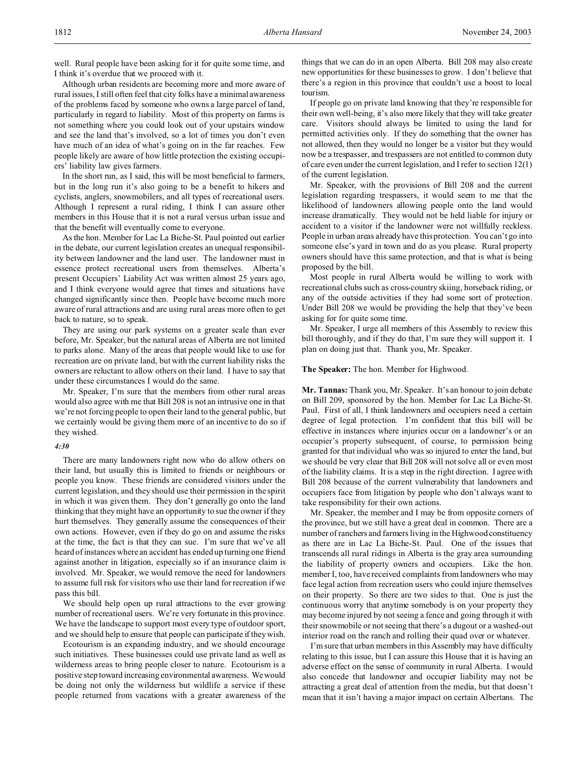Although urban residents are becoming more and more aware of rural issues, I still often feel that city folks have a minimal awareness of the problems faced by someone who owns a large parcel of land, particularly in regard to liability. Most of this property on farms is not something where you could look out of your upstairs window and see the land that's involved, so a lot of times you don't even have much of an idea of what's going on in the far reaches. Few people likely are aware of how little protection the existing occupiers' liability law gives farmers.

In the short run, as I said, this will be most beneficial to farmers, but in the long run it's also going to be a benefit to hikers and cyclists, anglers, snowmobilers, and all types of recreational users. Although I represent a rural riding, I think I can assure other members in this House that it is not a rural versus urban issue and that the benefit will eventually come to everyone.

As the hon. Member for Lac La Biche-St. Paul pointed out earlier in the debate, our current legislation creates an unequal responsibility between landowner and the land user. The landowner must in essence protect recreational users from themselves. Alberta's present Occupiers' Liability Act was written almost 25 years ago, and I think everyone would agree that times and situations have changed significantly since then. People have become much more aware of rural attractions and are using rural areas more often to get back to nature, so to speak.

They are using our park systems on a greater scale than ever before, Mr. Speaker, but the natural areas of Alberta are not limited to parks alone. Many of the areas that people would like to use for recreation are on private land, but with the current liability risks the owners are reluctant to allow others on their land. I have to say that under these circumstances I would do the same.

Mr. Speaker, I'm sure that the members from other rural areas would also agree with me that Bill 208 is not an intrusive one in that we're not forcing people to open their land to the general public, but we certainly would be giving them more of an incentive to do so if they wished.

### *4:30*

There are many landowners right now who do allow others on their land, but usually this is limited to friends or neighbours or people you know. These friends are considered visitors under the current legislation, and they should use their permission in the spirit in which it was given them. They don't generally go onto the land thinking that they might have an opportunity to sue the owner if they hurt themselves. They generally assume the consequences of their own actions. However, even if they do go on and assume the risks at the time, the fact is that they can sue. I'm sure that we've all heard of instances where an accident has ended up turning one friend against another in litigation, especially so if an insurance claim is involved. Mr. Speaker, we would remove the need for landowners to assume full risk for visitors who use their land for recreation if we pass this bill.

We should help open up rural attractions to the ever growing number of recreational users. We're very fortunate in this province. We have the landscape to support most every type of outdoor sport, and we should help to ensure that people can participate if they wish.

Ecotourism is an expanding industry, and we should encourage such initiatives. These businesses could use private land as well as wilderness areas to bring people closer to nature. Ecotourism is a positive step toward increasing environmental awareness. Wewould be doing not only the wilderness but wildlife a service if these people returned from vacations with a greater awareness of the

things that we can do in an open Alberta. Bill 208 may also create new opportunities for these businesses to grow. I don't believe that there's a region in this province that couldn't use a boost to local tourism.

If people go on private land knowing that they're responsible for their own well-being, it's also more likely that they will take greater care. Visitors should always be limited to using the land for permitted activities only. If they do something that the owner has not allowed, then they would no longer be a visitor but they would now be a trespasser, and trespassers are not entitled to common duty of care even under the current legislation, and I refer to section 12(1) of the current legislation.

Mr. Speaker, with the provisions of Bill 208 and the current legislation regarding trespassers, it would seem to me that the likelihood of landowners allowing people onto the land would increase dramatically. They would not be held liable for injury or accident to a visitor if the landowner were not willfully reckless. People in urban areas already have this protection. You can't go into someone else's yard in town and do as you please. Rural property owners should have this same protection, and that is what is being proposed by the bill.

Most people in rural Alberta would be willing to work with recreational clubs such as cross-country skiing, horseback riding, or any of the outside activities if they had some sort of protection. Under Bill 208 we would be providing the help that they've been asking for for quite some time.

Mr. Speaker, I urge all members of this Assembly to review this bill thoroughly, and if they do that, I'm sure they will support it. I plan on doing just that. Thank you, Mr. Speaker.

### **The Speaker:** The hon. Member for Highwood.

**Mr. Tannas:** Thank you, Mr. Speaker. It's an honour to join debate on Bill 209, sponsored by the hon. Member for Lac La Biche-St. Paul. First of all, I think landowners and occupiers need a certain degree of legal protection. I'm confident that this bill will be effective in instances where injuries occur on a landowner's or an occupier's property subsequent, of course, to permission being granted for that individual who was so injured to enter the land, but we should be very clear that Bill 208 will not solve all or even most of the liability claims. It is a step in the right direction. I agree with Bill 208 because of the current vulnerability that landowners and occupiers face from litigation by people who don't always want to take responsibility for their own actions.

Mr. Speaker, the member and I may be from opposite corners of the province, but we still have a great deal in common. There are a number of ranchers and farmers living in the Highwood constituency as there are in Lac La Biche-St. Paul. One of the issues that transcends all rural ridings in Alberta is the gray area surrounding the liability of property owners and occupiers. Like the hon. member I, too, have received complaints from landowners who may face legal action from recreation users who could injure themselves on their property. So there are two sides to that. One is just the continuous worry that anytime somebody is on your property they may become injured by not seeing a fence and going through it with their snowmobile or not seeing that there's a dugout or a washed-out interior road on the ranch and rolling their quad over or whatever.

I'm sure that urban members in this Assembly may have difficulty relating to this issue, but I can assure this House that it is having an adverse effect on the sense of community in rural Alberta. I would also concede that landowner and occupier liability may not be attracting a great deal of attention from the media, but that doesn't mean that it isn't having a major impact on certain Albertans. The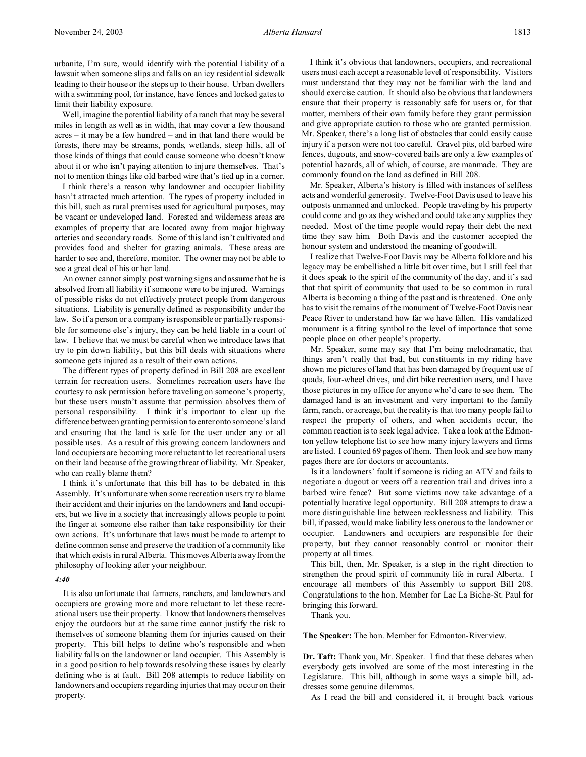urbanite, I'm sure, would identify with the potential liability of a lawsuit when someone slips and falls on an icy residential sidewalk leading to their house or the steps up to their house. Urban dwellers with a swimming pool, for instance, have fences and locked gates to limit their liability exposure.

Well, imagine the potential liability of a ranch that may be several miles in length as well as in width, that may cover a few thousand acres – it may be a few hundred – and in that land there would be forests, there may be streams, ponds, wetlands, steep hills, all of those kinds of things that could cause someone who doesn't know about it or who isn't paying attention to injure themselves. That's not to mention things like old barbed wire that's tied up in a corner.

I think there's a reason why landowner and occupier liability hasn't attracted much attention. The types of property included in this bill, such as rural premises used for agricultural purposes, may be vacant or undeveloped land. Forested and wilderness areas are examples of property that are located away from major highway arteries and secondary roads. Some of this land isn't cultivated and provides food and shelter for grazing animals. These areas are harder to see and, therefore, monitor. The owner may not be able to see a great deal of his or her land.

An owner cannot simply post warning signs and assume that he is absolved from all liability if someone were to be injured. Warnings of possible risks do not effectively protect people from dangerous situations. Liability is generally defined as responsibility under the law. So if a person or a company is responsible or partially responsible for someone else's injury, they can be held liable in a court of law. I believe that we must be careful when we introduce laws that try to pin down liability, but this bill deals with situations where someone gets injured as a result of their own actions.

The different types of property defined in Bill 208 are excellent terrain for recreation users. Sometimes recreation users have the courtesy to ask permission before traveling on someone's property, but these users mustn't assume that permission absolves them of personal responsibility. I think it's important to clear up the difference between granting permission to enter onto someone's land and ensuring that the land is safe for the user under any or all possible uses. As a result of this growing concern landowners and land occupiers are becoming more reluctant to let recreational users on their land because of the growing threat of liability. Mr. Speaker, who can really blame them?

I think it's unfortunate that this bill has to be debated in this Assembly. It's unfortunate when some recreation users try to blame their accident and their injuries on the landowners and land occupiers, but we live in a society that increasingly allows people to point the finger at someone else rather than take responsibility for their own actions. It's unfortunate that laws must be made to attempt to define common sense and preserve the tradition of a community like that which exists in rural Alberta. This moves Alberta away from the philosophy of looking after your neighbour.

#### *4:40*

It is also unfortunate that farmers, ranchers, and landowners and occupiers are growing more and more reluctant to let these recreational users use their property. I know that landowners themselves enjoy the outdoors but at the same time cannot justify the risk to themselves of someone blaming them for injuries caused on their property. This bill helps to define who's responsible and when liability falls on the landowner or land occupier. This Assembly is in a good position to help towards resolving these issues by clearly defining who is at fault. Bill 208 attempts to reduce liability on landowners and occupiers regarding injuries that may occur on their property.

I think it's obvious that landowners, occupiers, and recreational users must each accept a reasonable level of responsibility. Visitors must understand that they may not be familiar with the land and should exercise caution. It should also be obvious that landowners ensure that their property is reasonably safe for users or, for that matter, members of their own family before they grant permission and give appropriate caution to those who are granted permission. Mr. Speaker, there's a long list of obstacles that could easily cause injury if a person were not too careful. Gravel pits, old barbed wire fences, dugouts, and snow-covered bails are only a few examples of potential hazards, all of which, of course, are manmade. They are commonly found on the land as defined in Bill 208.

Mr. Speaker, Alberta's history is filled with instances of selfless acts and wonderful generosity. Twelve-Foot Davis used to leave his outposts unmanned and unlocked. People traveling by his property could come and go as they wished and could take any supplies they needed. Most of the time people would repay their debt the next time they saw him. Both Davis and the customer accepted the honour system and understood the meaning of goodwill.

I realize that Twelve-Foot Davis may be Alberta folklore and his legacy may be embellished a little bit over time, but I still feel that it does speak to the spirit of the community of the day, and it's sad that that spirit of community that used to be so common in rural Alberta is becoming a thing of the past and is threatened. One only has to visit the remains of the monument of Twelve-Foot Davis near Peace River to understand how far we have fallen. His vandalized monument is a fitting symbol to the level of importance that some people place on other people's property.

Mr. Speaker, some may say that I'm being melodramatic, that things aren't really that bad, but constituents in my riding have shown me pictures of land that has been damaged by frequent use of quads, four-wheel drives, and dirt bike recreation users, and I have those pictures in my office for anyone who'd care to see them. The damaged land is an investment and very important to the family farm, ranch, or acreage, but the reality is that too many people fail to respect the property of others, and when accidents occur, the common reaction is to seek legal advice. Take a look at the Edmonton yellow telephone list to see how many injury lawyers and firms are listed. I counted 69 pages of them. Then look and see how many pages there are for doctors or accountants.

Is it a landowners' fault if someone is riding an ATV and fails to negotiate a dugout or veers off a recreation trail and drives into a barbed wire fence? But some victims now take advantage of a potentially lucrative legal opportunity. Bill 208 attempts to draw a more distinguishable line between recklessness and liability. This bill, if passed, would make liability less onerous to the landowner or occupier. Landowners and occupiers are responsible for their property, but they cannot reasonably control or monitor their property at all times.

This bill, then, Mr. Speaker, is a step in the right direction to strengthen the proud spirit of community life in rural Alberta. I encourage all members of this Assembly to support Bill 208. Congratulations to the hon. Member for Lac La Biche-St. Paul for bringing this forward.

Thank you.

**The Speaker:** The hon. Member for Edmonton-Riverview.

**Dr. Taft:** Thank you, Mr. Speaker. I find that these debates when everybody gets involved are some of the most interesting in the Legislature. This bill, although in some ways a simple bill, addresses some genuine dilemmas.

As I read the bill and considered it, it brought back various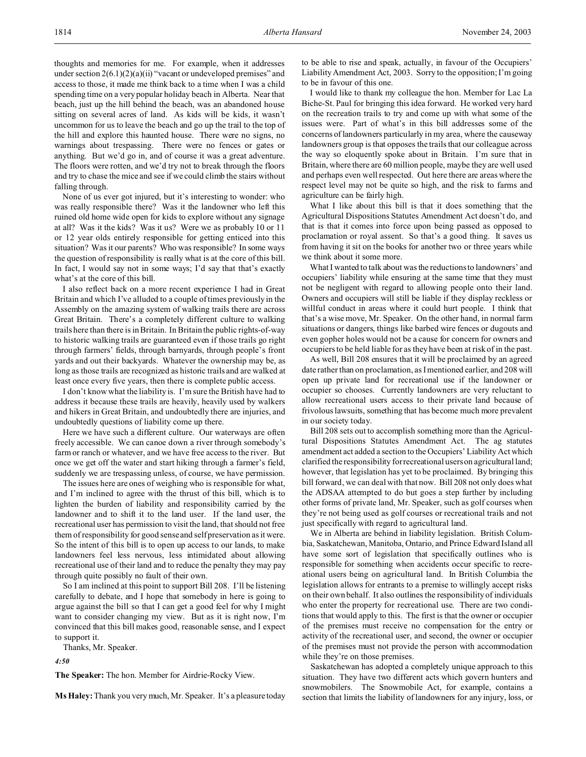thoughts and memories for me. For example, when it addresses under section 2(6.1)(2)(a)(ii) "vacant or undeveloped premises" and access to those, it made me think back to a time when I was a child spending time on a very popular holiday beach in Alberta. Near that beach, just up the hill behind the beach, was an abandoned house sitting on several acres of land. As kids will be kids, it wasn't uncommon for us to leave the beach and go up the trail to the top of the hill and explore this haunted house. There were no signs, no warnings about trespassing. There were no fences or gates or anything. But we'd go in, and of course it was a great adventure. The floors were rotten, and we'd try not to break through the floors and try to chase the mice and see if we could climb the stairs without falling through.

None of us ever got injured, but it's interesting to wonder: who was really responsible there? Was it the landowner who left this ruined old home wide open for kids to explore without any signage at all? Was it the kids? Was it us? Were we as probably 10 or 11 or 12 year olds entirely responsible for getting enticed into this situation? Was it our parents? Who was responsible? In some ways the question of responsibility is really what is at the core of this bill. In fact, I would say not in some ways; I'd say that that's exactly what's at the core of this bill.

I also reflect back on a more recent experience I had in Great Britain and which I've alluded to a couple of times previously in the Assembly on the amazing system of walking trails there are across Great Britain. There's a completely different culture to walking trails here than there is in Britain. In Britain the public rights-of-way to historic walking trails are guaranteed even if those trails go right through farmers' fields, through barnyards, through people's front yards and out their backyards. Whatever the ownership may be, as long as those trails are recognized as historic trails and are walked at least once every five years, then there is complete public access.

I don't know what the liability is. I'm sure the British have had to address it because these trails are heavily, heavily used by walkers and hikers in Great Britain, and undoubtedly there are injuries, and undoubtedly questions of liability come up there.

Here we have such a different culture. Our waterways are often freely accessible. We can canoe down a river through somebody's farm or ranch or whatever, and we have free access to the river. But once we get off the water and start hiking through a farmer's field, suddenly we are trespassing unless, of course, we have permission.

The issues here are ones of weighing who is responsible for what, and I'm inclined to agree with the thrust of this bill, which is to lighten the burden of liability and responsibility carried by the landowner and to shift it to the land user. If the land user, the recreational user has permission to visit the land, that should not free them of responsibility for good sense and self preservation as it were. So the intent of this bill is to open up access to our lands, to make landowners feel less nervous, less intimidated about allowing recreational use of their land and to reduce the penalty they may pay through quite possibly no fault of their own.

So I am inclined at this point to support Bill 208. I'll be listening carefully to debate, and I hope that somebody in here is going to argue against the bill so that I can get a good feel for why I might want to consider changing my view. But as it is right now, I'm convinced that this bill makes good, reasonable sense, and I expect to support it.

Thanks, Mr. Speaker.

*4:50*

**The Speaker:** The hon. Member for Airdrie-Rocky View.

**Ms Haley:** Thank you very much, Mr. Speaker. It's a pleasure today

to be able to rise and speak, actually, in favour of the Occupiers' Liability Amendment Act, 2003. Sorry to the opposition; I'm going to be in favour of this one.

I would like to thank my colleague the hon. Member for Lac La Biche-St. Paul for bringing this idea forward. He worked very hard on the recreation trails to try and come up with what some of the issues were. Part of what's in this bill addresses some of the concerns of landowners particularly in my area, where the causeway landowners group is that opposes the trails that our colleague across the way so eloquently spoke about in Britain. I'm sure that in Britain, where there are 60 million people, maybe they are well used and perhaps even well respected. Out here there are areas where the respect level may not be quite so high, and the risk to farms and agriculture can be fairly high.

What I like about this bill is that it does something that the Agricultural Dispositions Statutes Amendment Act doesn't do, and that is that it comes into force upon being passed as opposed to proclamation or royal assent. So that's a good thing. It saves us from having it sit on the books for another two or three years while we think about it some more.

What I wanted to talk about was the reductions to landowners' and occupiers' liability while ensuring at the same time that they must not be negligent with regard to allowing people onto their land. Owners and occupiers will still be liable if they display reckless or willful conduct in areas where it could hurt people. I think that that's a wise move, Mr. Speaker. On the other hand, in normal farm situations or dangers, things like barbed wire fences or dugouts and even gopher holes would not be a cause for concern for owners and occupiers to be held liable for as they have been at risk of in the past.

As well, Bill 208 ensures that it will be proclaimed by an agreed date rather than on proclamation, as I mentioned earlier, and 208 will open up private land for recreational use if the landowner or occupier so chooses. Currently landowners are very reluctant to allow recreational users access to their private land because of frivolous lawsuits, something that has become much more prevalent in our society today.

Bill 208 sets out to accomplish something more than the Agricultural Dispositions Statutes Amendment Act. The ag statutes amendment act added a section to the Occupiers' Liability Act which clarified the responsibility for recreational users on agricultural land; however, that legislation has yet to be proclaimed. By bringing this bill forward, we can deal with that now. Bill 208 not only does what the ADSAA attempted to do but goes a step further by including other forms of private land, Mr. Speaker, such as golf courses when they're not being used as golf courses or recreational trails and not just specifically with regard to agricultural land.

We in Alberta are behind in liability legislation. British Columbia, Saskatchewan, Manitoba, Ontario, and Prince Edward Island all have some sort of legislation that specifically outlines who is responsible for something when accidents occur specific to recreational users being on agricultural land. In British Columbia the legislation allows for entrants to a premise to willingly accept risks on their own behalf. It also outlines the responsibility of individuals who enter the property for recreational use. There are two conditions that would apply to this. The first is that the owner or occupier of the premises must receive no compensation for the entry or activity of the recreational user, and second, the owner or occupier of the premises must not provide the person with accommodation while they're on those premises.

Saskatchewan has adopted a completely unique approach to this situation. They have two different acts which govern hunters and snowmobilers. The Snowmobile Act, for example, contains a section that limits the liability of landowners for any injury, loss, or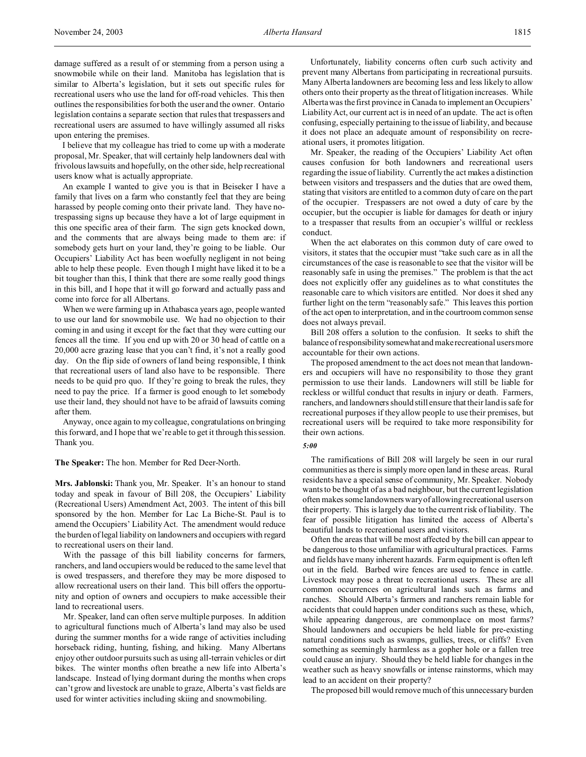damage suffered as a result of or stemming from a person using a snowmobile while on their land. Manitoba has legislation that is similar to Alberta's legislation, but it sets out specific rules for recreational users who use the land for off-road vehicles. This then outlines the responsibilities for both the user and the owner. Ontario legislation contains a separate section that rules that trespassers and recreational users are assumed to have willingly assumed all risks upon entering the premises.

I believe that my colleague has tried to come up with a moderate proposal, Mr. Speaker, that will certainly help landowners deal with frivolous lawsuits and hopefully, on the other side, help recreational users know what is actually appropriate.

An example I wanted to give you is that in Beiseker I have a family that lives on a farm who constantly feel that they are being harassed by people coming onto their private land. They have notrespassing signs up because they have a lot of large equipment in this one specific area of their farm. The sign gets knocked down, and the comments that are always being made to them are: if somebody gets hurt on your land, they're going to be liable. Our Occupiers' Liability Act has been woefully negligent in not being able to help these people. Even though I might have liked it to be a bit tougher than this, I think that there are some really good things in this bill, and I hope that it will go forward and actually pass and come into force for all Albertans.

When we were farming up in Athabasca years ago, people wanted to use our land for snowmobile use. We had no objection to their coming in and using it except for the fact that they were cutting our fences all the time. If you end up with 20 or 30 head of cattle on a 20,000 acre grazing lease that you can't find, it's not a really good day. On the flip side of owners of land being responsible, I think that recreational users of land also have to be responsible. There needs to be quid pro quo. If they're going to break the rules, they need to pay the price. If a farmer is good enough to let somebody use their land, they should not have to be afraid of lawsuits coming after them.

Anyway, once again to my colleague, congratulations on bringing this forward, and I hope that we're able to get it through this session. Thank you.

**The Speaker:** The hon. Member for Red Deer-North.

**Mrs. Jablonski:** Thank you, Mr. Speaker. It's an honour to stand today and speak in favour of Bill 208, the Occupiers' Liability (Recreational Users) Amendment Act, 2003. The intent of this bill sponsored by the hon. Member for Lac La Biche-St. Paul is to amend the Occupiers' Liability Act. The amendment would reduce the burden of legal liability on landowners and occupiers with regard to recreational users on their land.

With the passage of this bill liability concerns for farmers, ranchers, and land occupiers would be reduced to the same level that is owed trespassers, and therefore they may be more disposed to allow recreational users on their land. This bill offers the opportunity and option of owners and occupiers to make accessible their land to recreational users.

Mr. Speaker, land can often serve multiple purposes. In addition to agricultural functions much of Alberta's land may also be used during the summer months for a wide range of activities including horseback riding, hunting, fishing, and hiking. Many Albertans enjoy other outdoor pursuits such as using all-terrain vehicles or dirt bikes. The winter months often breathe a new life into Alberta's landscape. Instead of lying dormant during the months when crops can't grow and livestock are unable to graze, Alberta's vast fields are used for winter activities including skiing and snowmobiling.

Unfortunately, liability concerns often curb such activity and prevent many Albertans from participating in recreational pursuits. Many Alberta landowners are becoming less and less likely to allow others onto their property as the threat of litigation increases. While Alberta was the first province in Canada to implement an Occupiers' Liability Act, our current act is in need of an update. The act is often confusing, especially pertaining to the issue of liability, and because it does not place an adequate amount of responsibility on recreational users, it promotes litigation.

Mr. Speaker, the reading of the Occupiers' Liability Act often causes confusion for both landowners and recreational users regarding the issue of liability. Currently the act makes a distinction between visitors and trespassers and the duties that are owed them, stating that visitors are entitled to a common duty of care on the part of the occupier. Trespassers are not owed a duty of care by the occupier, but the occupier is liable for damages for death or injury to a trespasser that results from an occupier's willful or reckless conduct.

When the act elaborates on this common duty of care owed to visitors, it states that the occupier must "take such care as in all the circumstances of the case is reasonable to see that the visitor will be reasonably safe in using the premises." The problem is that the act does not explicitly offer any guidelines as to what constitutes the reasonable care to which visitors are entitled. Nor does it shed any further light on the term "reasonably safe." This leaves this portion of the act open to interpretation, and in the courtroom common sense does not always prevail.

Bill 208 offers a solution to the confusion. It seeks to shift the balance of responsibilitysomewhatand make recreational users more accountable for their own actions.

The proposed amendment to the act does not mean that landowners and occupiers will have no responsibility to those they grant permission to use their lands. Landowners will still be liable for reckless or willful conduct that results in injury or death. Farmers, ranchers, and landowners should still ensure that their land is safe for recreational purposes if they allow people to use their premises, but recreational users will be required to take more responsibility for their own actions.

*5:00*

The ramifications of Bill 208 will largely be seen in our rural communities as there is simply more open land in these areas. Rural residents have a special sense of community, Mr. Speaker. Nobody wants to be thought of as a bad neighbour, but the current legislation often makes some landowners wary of allowing recreational users on their property. This is largely due to the current risk of liability. The fear of possible litigation has limited the access of Alberta's beautiful lands to recreational users and visitors.

Often the areas that will be most affected by the bill can appear to be dangerous to those unfamiliar with agricultural practices. Farms and fields have many inherent hazards. Farm equipment is often left out in the field. Barbed wire fences are used to fence in cattle. Livestock may pose a threat to recreational users. These are all common occurrences on agricultural lands such as farms and ranches. Should Alberta's farmers and ranchers remain liable for accidents that could happen under conditions such as these, which, while appearing dangerous, are commonplace on most farms? Should landowners and occupiers be held liable for pre-existing natural conditions such as swamps, gullies, trees, or cliffs? Even something as seemingly harmless as a gopher hole or a fallen tree could cause an injury. Should they be held liable for changes in the weather such as heavy snowfalls or intense rainstorms, which may lead to an accident on their property?

The proposed bill would remove much of this unnecessary burden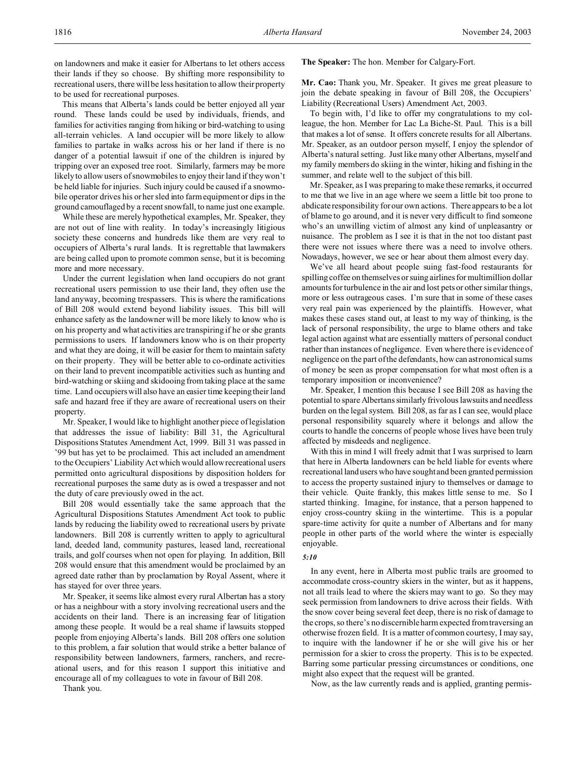on landowners and make it easier for Albertans to let others access their lands if they so choose. By shifting more responsibility to recreational users, there will be less hesitation to allow their property to be used for recreational purposes.

This means that Alberta's lands could be better enjoyed all year round. These lands could be used by individuals, friends, and families for activities ranging from hiking or bird-watching to using all-terrain vehicles. A land occupier will be more likely to allow families to partake in walks across his or her land if there is no danger of a potential lawsuit if one of the children is injured by tripping over an exposed tree root. Similarly, farmers may be more likely to allow users of snowmobiles to enjoy their land if they won't be held liable for injuries. Such injury could be caused if a snowmobile operator drives his or her sled into farm equipment or dips in the ground camouflaged by a recent snowfall, to name just one example.

While these are merely hypothetical examples, Mr. Speaker, they are not out of line with reality. In today's increasingly litigious society these concerns and hundreds like them are very real to occupiers of Alberta's rural lands. It is regrettable that lawmakers are being called upon to promote common sense, but it is becoming more and more necessary.

Under the current legislation when land occupiers do not grant recreational users permission to use their land, they often use the land anyway, becoming trespassers. This is where the ramifications of Bill 208 would extend beyond liability issues. This bill will enhance safety as the landowner will be more likely to know who is on his property and what activities are transpiring if he or she grants permissions to users. If landowners know who is on their property and what they are doing, it will be easier for them to maintain safety on their property. They will be better able to co-ordinate activities on their land to prevent incompatible activities such as hunting and bird-watching or skiing and skidooing from taking place at the same time. Land occupiers will also have an easier time keeping their land safe and hazard free if they are aware of recreational users on their property.

Mr. Speaker, I would like to highlight another piece of legislation that addresses the issue of liability: Bill 31, the Agricultural Dispositions Statutes Amendment Act, 1999. Bill 31 was passed in '99 but has yet to be proclaimed. This act included an amendment to the Occupiers' Liability Act which would allow recreational users permitted onto agricultural dispositions by disposition holders for recreational purposes the same duty as is owed a trespasser and not the duty of care previously owed in the act.

Bill 208 would essentially take the same approach that the Agricultural Dispositions Statutes Amendment Act took to public lands by reducing the liability owed to recreational users by private landowners. Bill 208 is currently written to apply to agricultural land, deeded land, community pastures, leased land, recreational trails, and golf courses when not open for playing. In addition, Bill 208 would ensure that this amendment would be proclaimed by an agreed date rather than by proclamation by Royal Assent, where it has stayed for over three years.

Mr. Speaker, it seems like almost every rural Albertan has a story or has a neighbour with a story involving recreational users and the accidents on their land. There is an increasing fear of litigation among these people. It would be a real shame if lawsuits stopped people from enjoying Alberta's lands. Bill 208 offers one solution to this problem, a fair solution that would strike a better balance of responsibility between landowners, farmers, ranchers, and recreational users, and for this reason I support this initiative and encourage all of my colleagues to vote in favour of Bill 208.

Thank you.

### **The Speaker:** The hon. Member for Calgary-Fort.

**Mr. Cao:** Thank you, Mr. Speaker. It gives me great pleasure to join the debate speaking in favour of Bill 208, the Occupiers' Liability (Recreational Users) Amendment Act, 2003.

To begin with, I'd like to offer my congratulations to my colleague, the hon. Member for Lac La Biche-St. Paul. This is a bill that makes a lot of sense. It offers concrete results for all Albertans. Mr. Speaker, as an outdoor person myself, I enjoy the splendor of Alberta's natural setting. Just like many other Albertans, myself and my family members do skiing in the winter, hiking and fishing in the summer, and relate well to the subject of this bill.

Mr. Speaker, as I was preparing to make these remarks, it occurred to me that we live in an age where we seem a little bit too prone to abdicate responsibility for our own actions. There appears to be a lot of blame to go around, and it is never very difficult to find someone who's an unwilling victim of almost any kind of unpleasantry or nuisance. The problem as I see it is that in the not too distant past there were not issues where there was a need to involve others. Nowadays, however, we see or hear about them almost every day.

We've all heard about people suing fast-food restaurants for spilling coffee on themselves or suing airlines for multimillion dollar amounts for turbulence in the air and lost pets or other similar things, more or less outrageous cases. I'm sure that in some of these cases very real pain was experienced by the plaintiffs. However, what makes these cases stand out, at least to my way of thinking, is the lack of personal responsibility, the urge to blame others and take legal action against what are essentially matters of personal conduct rather than instances of negligence. Even where there is evidence of negligence on the part of the defendants, how can astronomical sums of money be seen as proper compensation for what most often is a temporary imposition or inconvenience?

Mr. Speaker, I mention this because I see Bill 208 as having the potential to spare Albertans similarly frivolous lawsuits and needless burden on the legal system. Bill 208, as far as I can see, would place personal responsibility squarely where it belongs and allow the courts to handle the concerns of people whose lives have been truly affected by misdeeds and negligence.

With this in mind I will freely admit that I was surprised to learn that here in Alberta landowners can be held liable for events where recreational landusers who have sought and been granted permission to access the property sustained injury to themselves or damage to their vehicle. Quite frankly, this makes little sense to me. So I started thinking. Imagine, for instance, that a person happened to enjoy cross-country skiing in the wintertime. This is a popular spare-time activity for quite a number of Albertans and for many people in other parts of the world where the winter is especially enjoyable.

#### *5:10*

In any event, here in Alberta most public trails are groomed to accommodate cross-country skiers in the winter, but as it happens, not all trails lead to where the skiers may want to go. So they may seek permission from landowners to drive across their fields. With the snow cover being several feet deep, there is no risk of damage to the crops, so there's no discernible harm expected from traversing an otherwise frozen field. It is a matter of common courtesy, I may say, to inquire with the landowner if he or she will give his or her permission for a skier to cross the property. This is to be expected. Barring some particular pressing circumstances or conditions, one might also expect that the request will be granted.

Now, as the law currently reads and is applied, granting permis-